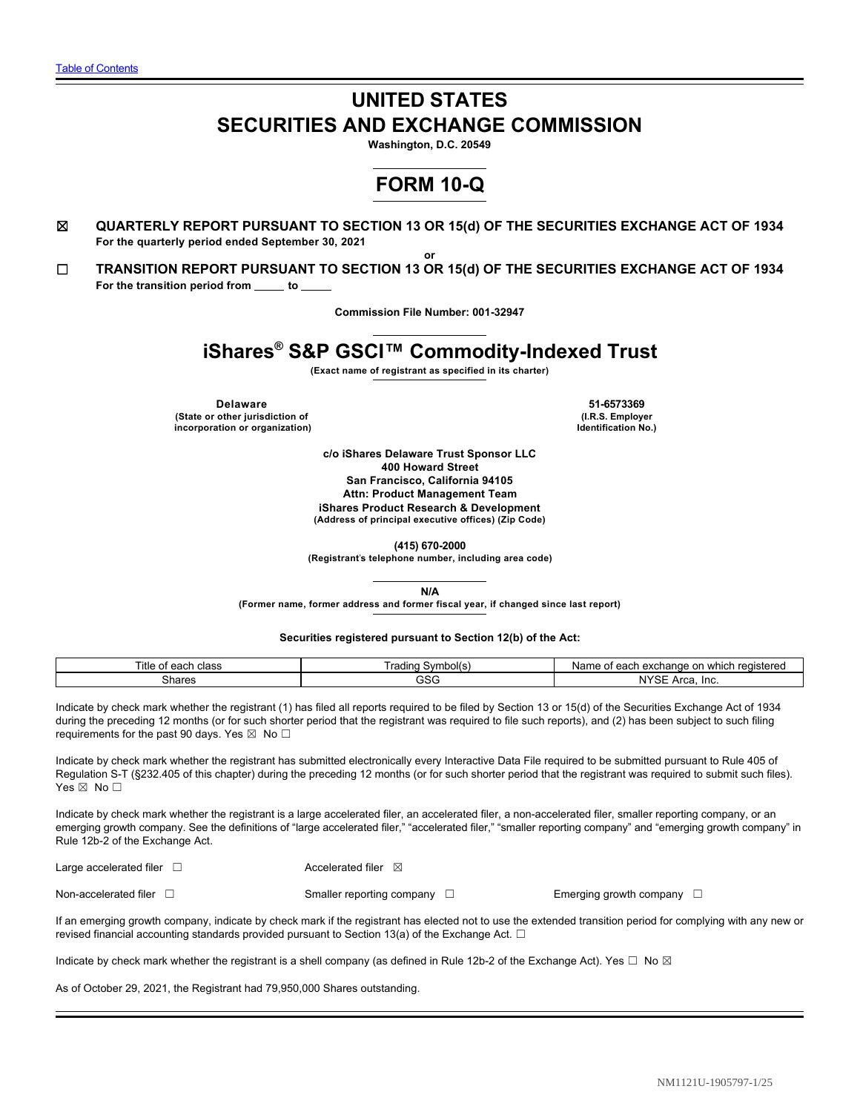# **UNITED STATES SECURITIES AND EXCHANGE COMMISSION**

**Washington, D.C. 20549**

# **FORM 10-Q**

- ☒ **QUARTERLY REPORT PURSUANT TO SECTION 13 OR 15(d) OF THE SECURITIES EXCHANGE ACT OF 1934 For the quarterly period ended September 30, 2021**
- **or** ☐ **TRANSITION REPORT PURSUANT TO SECTION 13 OR 15(d) OF THE SECURITIES EXCHANGE ACT OF 1934** For the transition period from \_\_\_\_\_ to \_

**Commission File Number: 001-32947**

# **iShares® S&P GSCI™ Commodity-Indexed Trust**

**(Exact name of registrant as specified in its charter)**

**Delaware 51-6573369 (State or other jurisdiction of incorporation or organization) Identification No.)**

**c/o iShares Delaware Trust Sponsor LLC 400 Howard Street San Francisco, California 94105 Attn: Product Management Team iShares Product Research & Development (Address of principal executive offices) (Zip Code)**

**(415) 670-2000**

**(Registrant**'**s telephone number, including area code)**

**N/A**

**(Former name, former address and former fiscal year, if changed since last report)**

**Securities registered pursuant to Section 12(b) of the Act:**

| $T$ itle<br>$\sim$ $\sim$ $\sim$<br>class<br>ΩI<br>Eau | <i>I</i> rading<br>. Symbol <sup>r</sup> | exchange on<br>ı reaistered<br>Name<br>which<br>oock<br>ヒハし<br>64.JU<br>. <i>.</i> . |
|--------------------------------------------------------|------------------------------------------|--------------------------------------------------------------------------------------|
| hares                                                  | $\sim$<br>ئەد                            | NYSF<br>Inc.<br>rror<br>$\overline{\mathbf{A}}$                                      |

Indicate by check mark whether the registrant (1) has filed all reports required to be filed by Section 13 or 15(d) of the Securities Exchange Act of 1934 during the preceding 12 months (or for such shorter period that the registrant was required to file such reports), and (2) has been subject to such filing requirements for the past 90 days. Yes  $\boxtimes$  No  $\square$ 

Indicate by check mark whether the registrant has submitted electronically every Interactive Data File required to be submitted pursuant to Rule 405 of Regulation S-T (§232.405 of this chapter) during the preceding 12 months (or for such shorter period that the registrant was required to submit such files). Yes  $\boxtimes$  No  $\square$ 

Indicate by check mark whether the registrant is a large accelerated filer, an accelerated filer, a non-accelerated filer, smaller reporting company, or an emerging growth company. See the definitions of "large accelerated filer," "accelerated filer," "smaller reporting company" and "emerging growth company" in Rule 12b-2 of the Exchange Act.

Large accelerated filer  $\Box$ 

Non-accelerated filer ☐ Smaller reporting company ☐ Emerging growth company ☐

If an emerging growth company, indicate by check mark if the registrant has elected not to use the extended transition period for complying with any new or revised financial accounting standards provided pursuant to Section 13(a) of the Exchange Act. □

Indicate by check mark whether the registrant is a shell company (as defined in Rule 12b-2 of the Exchange Act). Yes  $\Box$  No  $\boxtimes$ 

As of October 29, 2021, the Registrant had 79,950,000 Shares outstanding.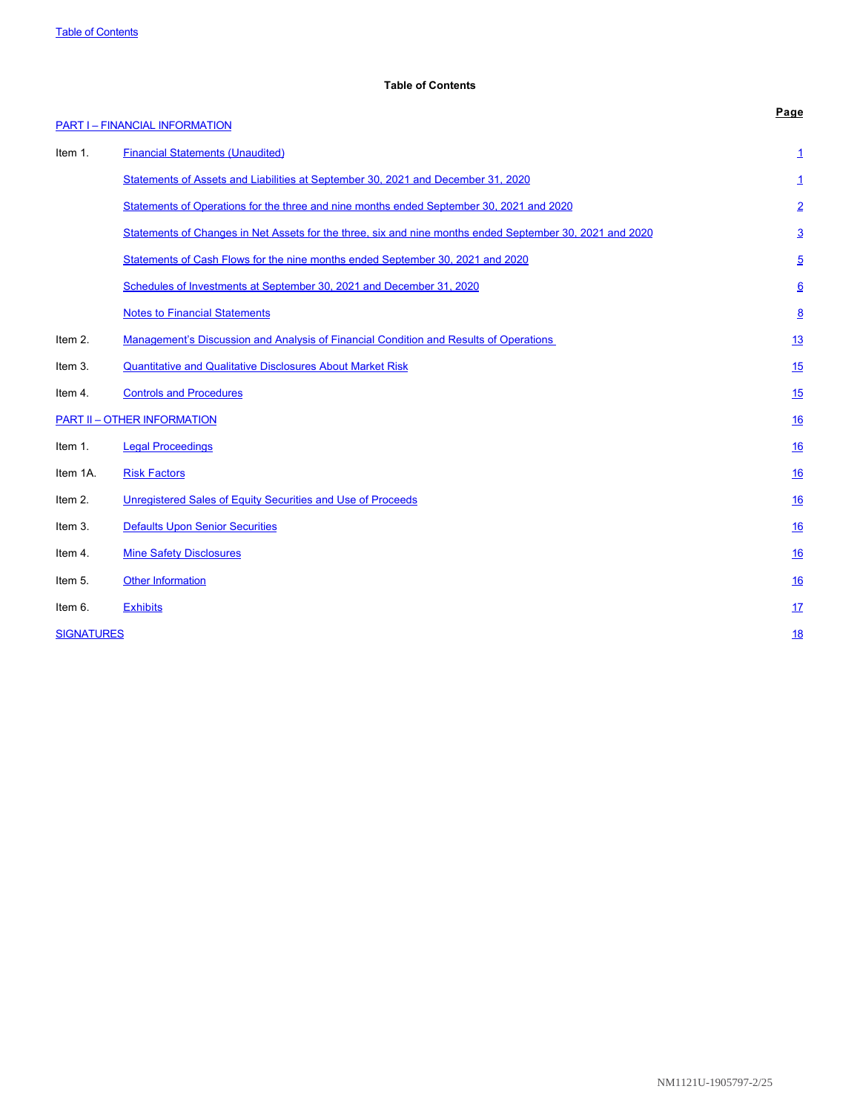# <span id="page-1-0"></span>**Table of Contents**

# **[PART I – FINANCIAL INFORMATION](#page-2-0)**

# **Page**

| Item 1.           | <b>Financial Statements (Unaudited)</b>                                                                  | $\overline{1}$  |
|-------------------|----------------------------------------------------------------------------------------------------------|-----------------|
|                   | Statements of Assets and Liabilities at September 30, 2021 and December 31, 2020                         | <u>1</u>        |
|                   | Statements of Operations for the three and nine months ended September 30, 2021 and 2020                 | $\overline{2}$  |
|                   | Statements of Changes in Net Assets for the three, six and nine months ended September 30, 2021 and 2020 | $\overline{3}$  |
|                   | Statements of Cash Flows for the nine months ended September 30, 2021 and 2020                           | $\overline{5}$  |
|                   | Schedules of Investments at September 30, 2021 and December 31, 2020                                     | $\underline{6}$ |
|                   | <b>Notes to Financial Statements</b>                                                                     | $\underline{8}$ |
| Item 2.           | Management's Discussion and Analysis of Financial Condition and Results of Operations                    | 13              |
| Item 3.           | <b>Quantitative and Qualitative Disclosures About Market Risk</b>                                        | 15              |
| Item 4.           | <b>Controls and Procedures</b>                                                                           | 15              |
|                   | <b>PART II - OTHER INFORMATION</b>                                                                       | <u>16</u>       |
| Item 1.           | <b>Legal Proceedings</b>                                                                                 | <u>16</u>       |
| Item 1A.          | <b>Risk Factors</b>                                                                                      | 16              |
| Item 2.           | Unregistered Sales of Equity Securities and Use of Proceeds                                              | 16              |
| Item 3.           | <b>Defaults Upon Senior Securities</b>                                                                   | <u>16</u>       |
| Item 4.           | <b>Mine Safety Disclosures</b>                                                                           | <u>16</u>       |
| Item 5.           | <b>Other Information</b>                                                                                 | 16              |
| Item 6.           | <b>Exhibits</b>                                                                                          | 17              |
| <b>SIGNATURES</b> |                                                                                                          | <u>18</u>       |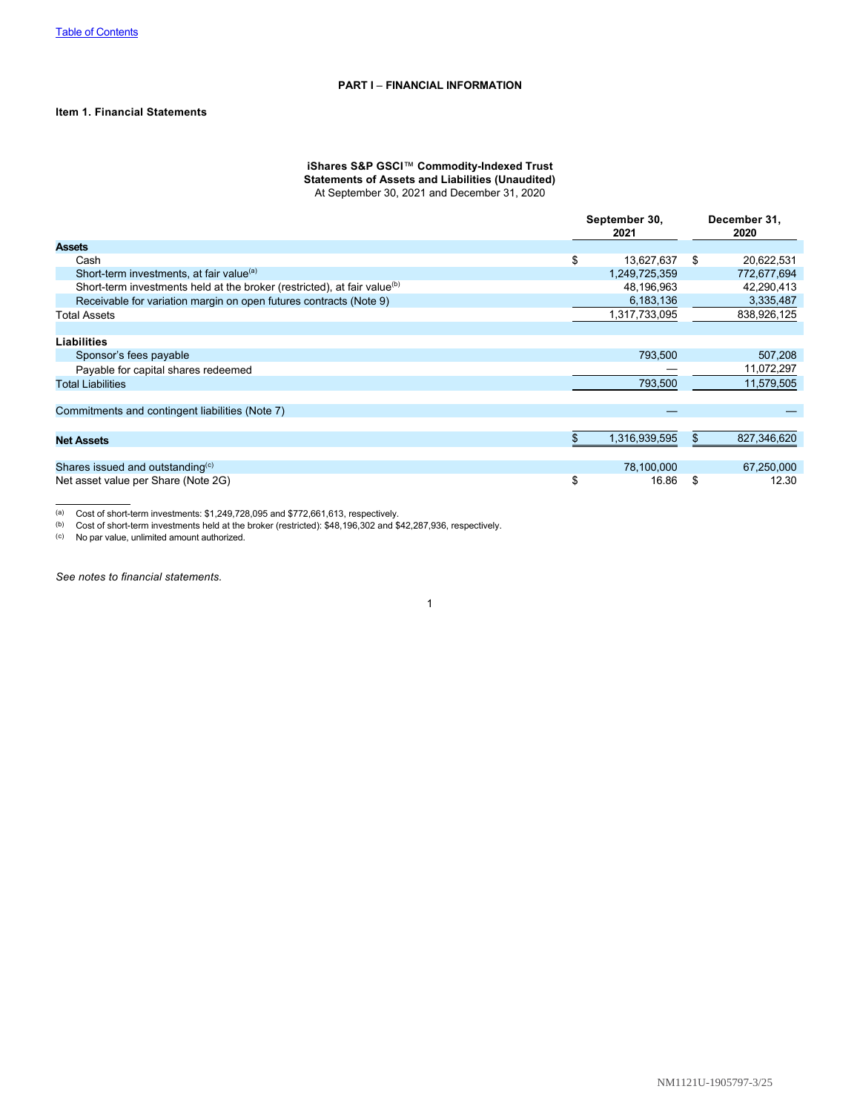# <span id="page-2-0"></span>**PART I** – **FINANCIAL INFORMATION**

# <span id="page-2-1"></span>**Item 1. Financial Statements**

# <span id="page-2-2"></span>**iShares S&P GSCI**™ **Commodity-Indexed Trust Statements of Assets and Liabilities (Unaudited)** At September 30, 2021 and December 31, 2020

|                                                                                      | September 30.<br>2021 |     | December 31,<br>2020 |
|--------------------------------------------------------------------------------------|-----------------------|-----|----------------------|
| <b>Assets</b>                                                                        |                       |     |                      |
| Cash                                                                                 | \$<br>13,627,637      | \$  | 20,622,531           |
| Short-term investments, at fair value <sup>(a)</sup>                                 | 1,249,725,359         |     | 772,677,694          |
| Short-term investments held at the broker (restricted), at fair value <sup>(b)</sup> | 48,196,963            |     | 42,290,413           |
| Receivable for variation margin on open futures contracts (Note 9)                   | 6,183,136             |     | 3,335,487            |
| <b>Total Assets</b>                                                                  | 1,317,733,095         |     | 838,926,125          |
|                                                                                      |                       |     |                      |
| <b>Liabilities</b>                                                                   |                       |     |                      |
| Sponsor's fees payable                                                               | 793,500               |     | 507,208              |
| Payable for capital shares redeemed                                                  |                       |     | 11,072,297           |
| <b>Total Liabilities</b>                                                             | 793,500               |     | 11,579,505           |
|                                                                                      |                       |     |                      |
| Commitments and contingent liabilities (Note 7)                                      |                       |     |                      |
|                                                                                      |                       |     |                      |
| <b>Net Assets</b>                                                                    | 1,316,939,595         | \$. | 827,346,620          |
|                                                                                      |                       |     |                      |
| Shares issued and outstanding <sup>(c)</sup>                                         | 78,100,000            |     | 67,250,000           |
| Net asset value per Share (Note 2G)                                                  | \$<br>16.86           | S   | 12.30                |

 $(a)$  Cost of short-term investments: \$1,249,728,095 and \$772,661,613, respectively.

(b) Cost of short-term investments held at the broker (restricted): \$48,196,302 and \$42,287,936, respectively.

(c) No par value, unlimited amount authorized.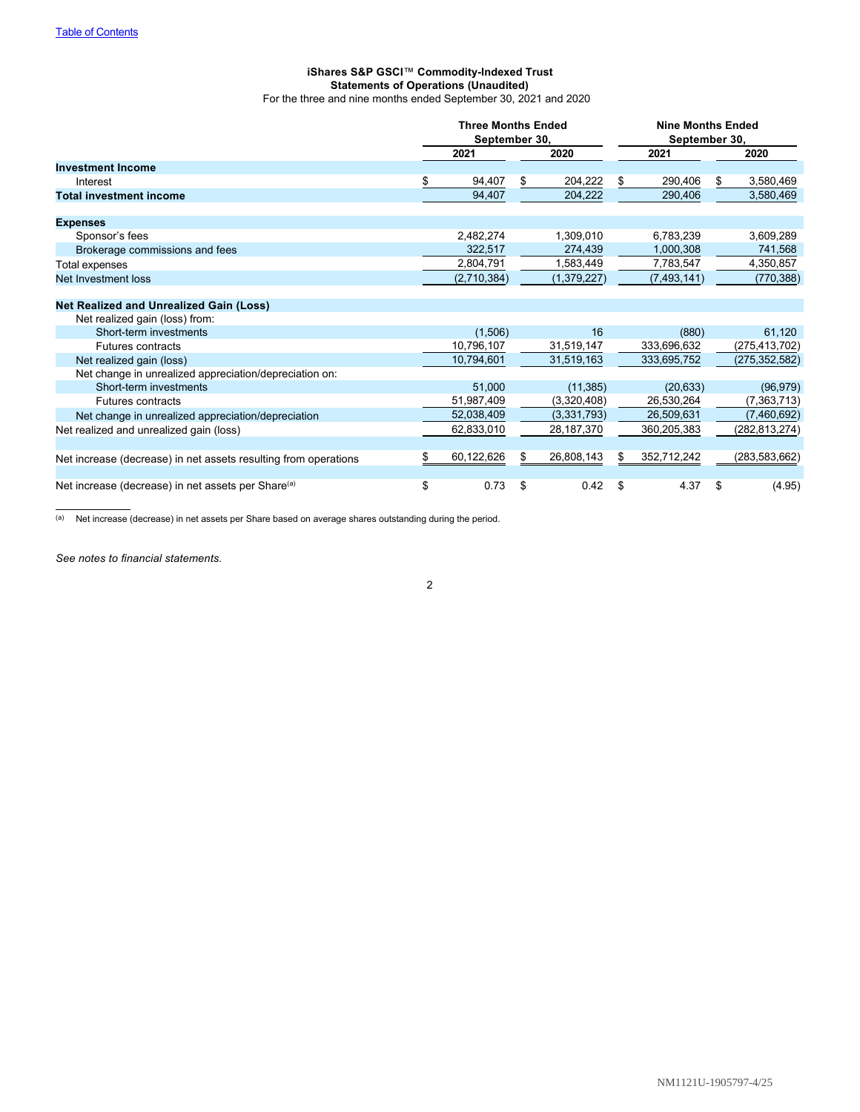# <span id="page-3-0"></span>**iShares S&P GSCI**™ **Commodity-Indexed Trust Statements of Operations (Unaudited)**

For the three and nine months ended September 30, 2021 and 2020

|                                                                                  |    | <b>Three Months Ended</b><br>September 30, |                  |    | <b>Nine Months Ended</b><br>September 30, |    |                 |  |
|----------------------------------------------------------------------------------|----|--------------------------------------------|------------------|----|-------------------------------------------|----|-----------------|--|
|                                                                                  |    | 2021                                       | 2020             |    | 2021                                      |    | 2020            |  |
| <b>Investment Income</b>                                                         |    |                                            |                  |    |                                           |    |                 |  |
| Interest                                                                         | S  | 94,407                                     | \$<br>204,222    | S  | 290,406                                   | \$ | 3,580,469       |  |
| <b>Total investment income</b>                                                   |    | 94,407                                     | 204,222          |    | 290,406                                   |    | 3,580,469       |  |
| <b>Expenses</b>                                                                  |    |                                            |                  |    |                                           |    |                 |  |
| Sponsor's fees                                                                   |    | 2,482,274                                  | 1,309,010        |    | 6,783,239                                 |    | 3,609,289       |  |
| Brokerage commissions and fees                                                   |    | 322,517                                    | 274,439          |    | 1,000,308                                 |    | 741,568         |  |
| Total expenses                                                                   |    | 2,804,791                                  | 1,583,449        |    | 7,783,547                                 |    | 4,350,857       |  |
| Net Investment loss                                                              |    | (2,710,384)                                | (1,379,227)      |    | (7, 493, 141)                             |    | (770, 388)      |  |
| <b>Net Realized and Unrealized Gain (Loss)</b><br>Net realized gain (loss) from: |    |                                            |                  |    |                                           |    |                 |  |
| Short-term investments                                                           |    | (1,506)                                    | 16               |    | (880)                                     |    | 61,120          |  |
| <b>Futures contracts</b>                                                         |    | 10,796,107                                 | 31,519,147       |    | 333,696,632                               |    | (275, 413, 702) |  |
| Net realized gain (loss)                                                         |    | 10,794,601                                 | 31,519,163       |    | 333,695,752                               |    | (275, 352, 582) |  |
| Net change in unrealized appreciation/depreciation on:                           |    |                                            |                  |    |                                           |    |                 |  |
| Short-term investments                                                           |    | 51.000                                     | (11, 385)        |    | (20, 633)                                 |    | (96, 979)       |  |
| <b>Futures contracts</b>                                                         |    | 51,987,409                                 | (3,320,408)      |    | 26,530,264                                |    | (7,363,713)     |  |
| Net change in unrealized appreciation/depreciation                               |    | 52,038,409                                 | (3,331,793)      |    | 26,509,631                                |    | (7,460,692)     |  |
| Net realized and unrealized gain (loss)                                          |    | 62,833,010                                 | 28,187,370       |    | 360,205,383                               |    | (282,813,274)   |  |
| Net increase (decrease) in net assets resulting from operations                  | S. | 60,122,626                                 | \$<br>26,808,143 | \$ | 352,712,242                               |    | (283, 583, 662) |  |
| Net increase (decrease) in net assets per Share <sup>(a)</sup>                   | \$ | 0.73                                       | \$<br>0.42       | \$ | 4.37                                      | \$ | (4.95)          |  |

(a) Net increase (decrease) in net assets per Share based on average shares outstanding during the period.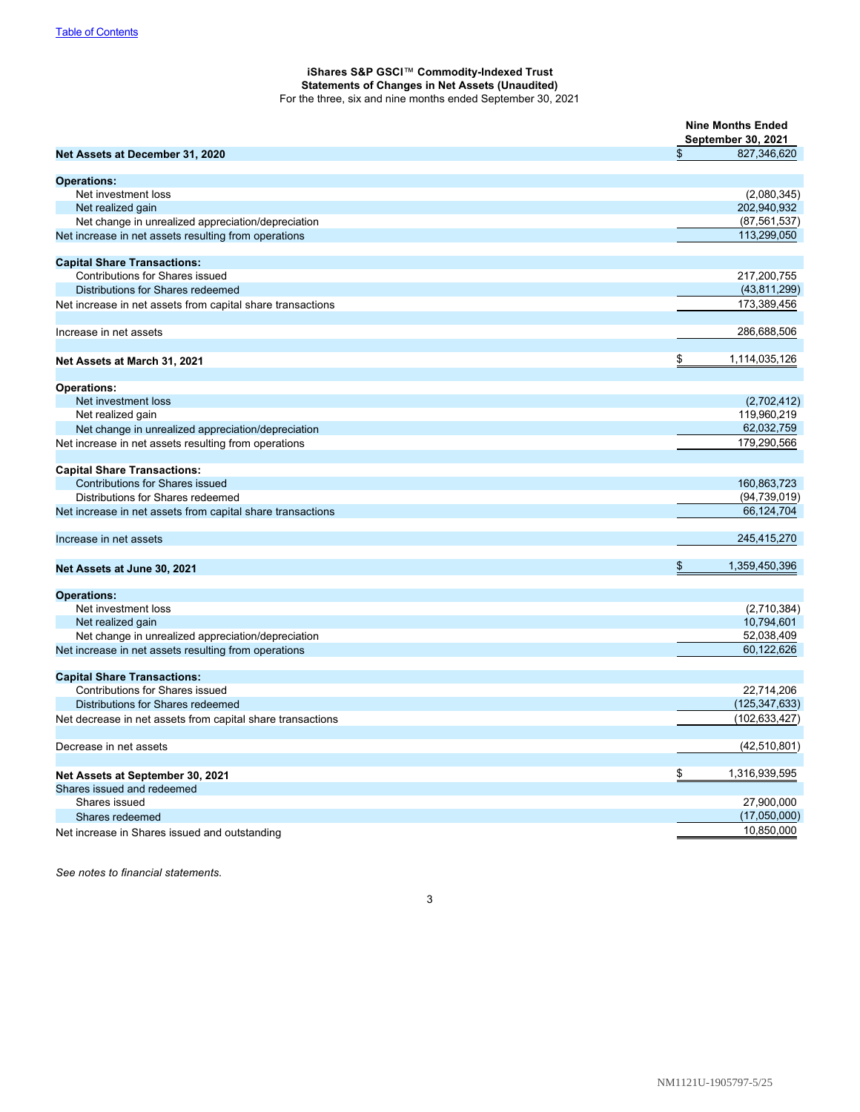# <span id="page-4-0"></span>**iShares S&P GSCI**™ **Commodity-Indexed Trust Statements of Changes in Net Assets (Unaudited)** For the three, six and nine months ended September 30, 2021

|                                                            | <b>Nine Months Ended</b><br><b>September 30, 2021</b> |
|------------------------------------------------------------|-------------------------------------------------------|
| Net Assets at December 31, 2020                            | \$<br>827,346,620                                     |
| <b>Operations:</b>                                         |                                                       |
| Net investment loss                                        | (2,080,345)                                           |
| Net realized gain                                          | 202,940,932                                           |
| Net change in unrealized appreciation/depreciation         | (87, 561, 537)                                        |
| Net increase in net assets resulting from operations       | 113,299,050                                           |
| <b>Capital Share Transactions:</b>                         |                                                       |
| <b>Contributions for Shares issued</b>                     | 217,200,755                                           |
| Distributions for Shares redeemed                          | (43, 811, 299)                                        |
| Net increase in net assets from capital share transactions | 173,389,456                                           |
| Increase in net assets                                     | 286,688,506                                           |
| Net Assets at March 31, 2021                               | \$<br>1,114,035,126                                   |
| <b>Operations:</b>                                         |                                                       |
| Net investment loss                                        | (2,702,412)                                           |
| Net realized gain                                          | 119,960,219                                           |
| Net change in unrealized appreciation/depreciation         | 62,032,759                                            |
| Net increase in net assets resulting from operations       | 179,290,566                                           |
| <b>Capital Share Transactions:</b>                         |                                                       |
| <b>Contributions for Shares issued</b>                     | 160,863,723                                           |
| Distributions for Shares redeemed                          | (94, 739, 019)                                        |
| Net increase in net assets from capital share transactions | 66,124,704                                            |
| Increase in net assets                                     | 245,415,270                                           |
| Net Assets at June 30, 2021                                | \$<br>1,359,450,396                                   |
| <b>Operations:</b>                                         |                                                       |
| Net investment loss                                        | (2,710,384)                                           |
| Net realized gain                                          | 10,794,601                                            |
| Net change in unrealized appreciation/depreciation         | 52,038,409                                            |
| Net increase in net assets resulting from operations       | 60,122,626                                            |
| <b>Capital Share Transactions:</b>                         |                                                       |
| <b>Contributions for Shares issued</b>                     | 22,714,206                                            |
| Distributions for Shares redeemed                          | (125, 347, 633)                                       |
| Net decrease in net assets from capital share transactions | (102, 633, 427)                                       |
| Decrease in net assets                                     | (42, 510, 801)                                        |
| Net Assets at September 30, 2021                           | \$<br>1,316,939,595                                   |
| Shares issued and redeemed                                 |                                                       |
| Shares issued                                              | 27,900,000                                            |
| Shares redeemed                                            | (17,050,000)                                          |
| Net increase in Shares issued and outstanding              | 10,850,000                                            |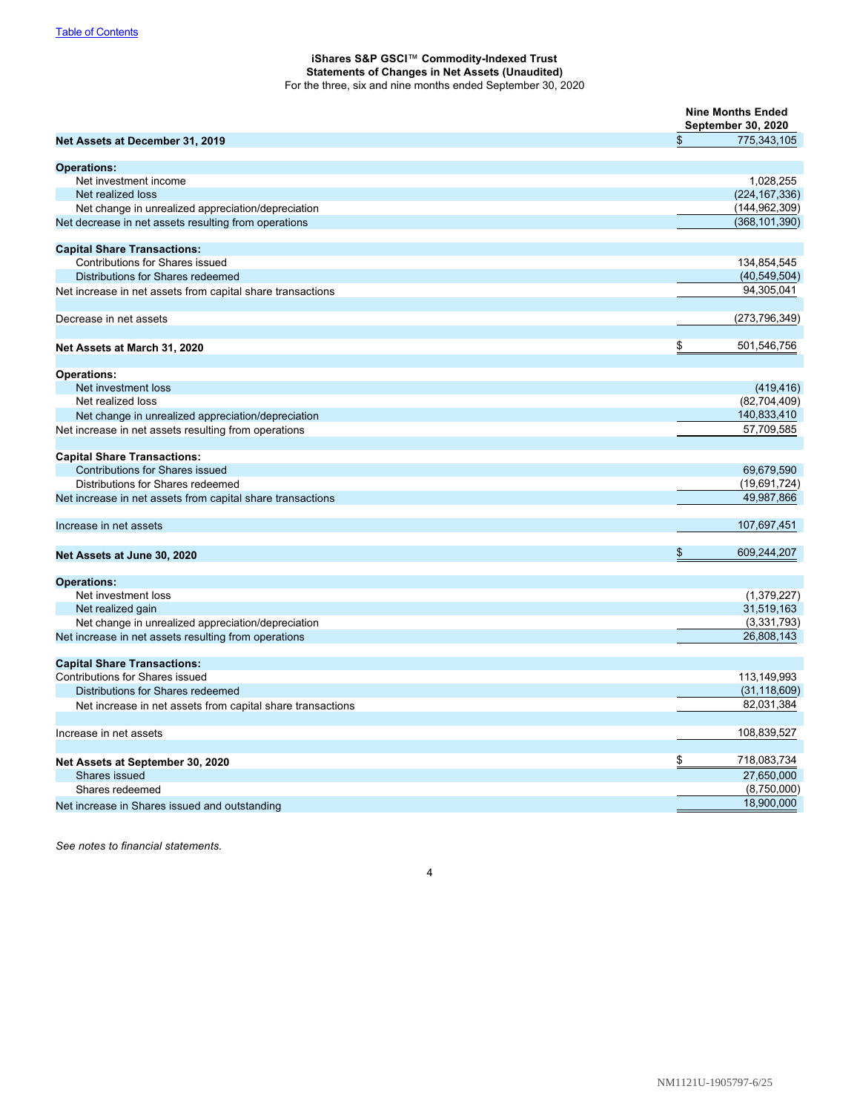#### **iShares S&P GSCI**™ **Commodity-Indexed Trust Statements of Changes in Net Assets (Unaudited)** For the three, six and nine months ended September 30, 2020

|                                                            |                | <b>Nine Months Ended</b><br><b>September 30, 2020</b> |
|------------------------------------------------------------|----------------|-------------------------------------------------------|
| Net Assets at December 31, 2019                            | $\mathfrak{S}$ | 775,343,105                                           |
|                                                            |                |                                                       |
| <b>Operations:</b><br>Net investment income                |                |                                                       |
| Net realized loss                                          |                | 1,028,255<br>(224, 167, 336)                          |
|                                                            |                | (144, 962, 309)                                       |
| Net change in unrealized appreciation/depreciation         |                | (368, 101, 390)                                       |
| Net decrease in net assets resulting from operations       |                |                                                       |
| <b>Capital Share Transactions:</b>                         |                |                                                       |
| <b>Contributions for Shares issued</b>                     |                | 134,854,545                                           |
| Distributions for Shares redeemed                          |                | (40, 549, 504)                                        |
| Net increase in net assets from capital share transactions |                | 94,305,041                                            |
|                                                            |                |                                                       |
| Decrease in net assets                                     |                | (273,796,349)                                         |
|                                                            |                |                                                       |
| Net Assets at March 31, 2020                               | \$             | 501,546,756                                           |
|                                                            |                |                                                       |
| <b>Operations:</b>                                         |                |                                                       |
| Net investment loss                                        |                | (419, 416)                                            |
| Net realized loss                                          |                | (82,704,409)                                          |
| Net change in unrealized appreciation/depreciation         |                | 140,833,410                                           |
| Net increase in net assets resulting from operations       |                | 57,709,585                                            |
|                                                            |                |                                                       |
| <b>Capital Share Transactions:</b>                         |                |                                                       |
| <b>Contributions for Shares issued</b>                     |                | 69,679,590                                            |
| Distributions for Shares redeemed                          |                | (19,691,724)                                          |
| Net increase in net assets from capital share transactions |                | 49,987,866                                            |
|                                                            |                |                                                       |
| Increase in net assets                                     |                | 107,697,451                                           |
|                                                            |                |                                                       |
| Net Assets at June 30, 2020                                | \$             | 609,244,207                                           |
|                                                            |                |                                                       |
| <b>Operations:</b>                                         |                |                                                       |
| Net investment loss                                        |                | (1,379,227)                                           |
| Net realized gain                                          |                | 31,519,163                                            |
| Net change in unrealized appreciation/depreciation         |                | (3,331,793)                                           |
| Net increase in net assets resulting from operations       |                | 26,808,143                                            |
| <b>Capital Share Transactions:</b>                         |                |                                                       |
| <b>Contributions for Shares issued</b>                     |                | 113,149,993                                           |
| Distributions for Shares redeemed                          |                | (31, 118, 609)                                        |
|                                                            |                | 82,031,384                                            |
| Net increase in net assets from capital share transactions |                |                                                       |
| Increase in net assets                                     |                | 108,839,527                                           |
|                                                            |                |                                                       |
| Net Assets at September 30, 2020                           | \$             | 718,083,734                                           |
| Shares issued                                              |                | 27,650,000                                            |
| Shares redeemed                                            |                | (8,750,000)                                           |
|                                                            |                | 18,900,000                                            |
| Net increase in Shares issued and outstanding              |                |                                                       |

*See notes to financial statements.*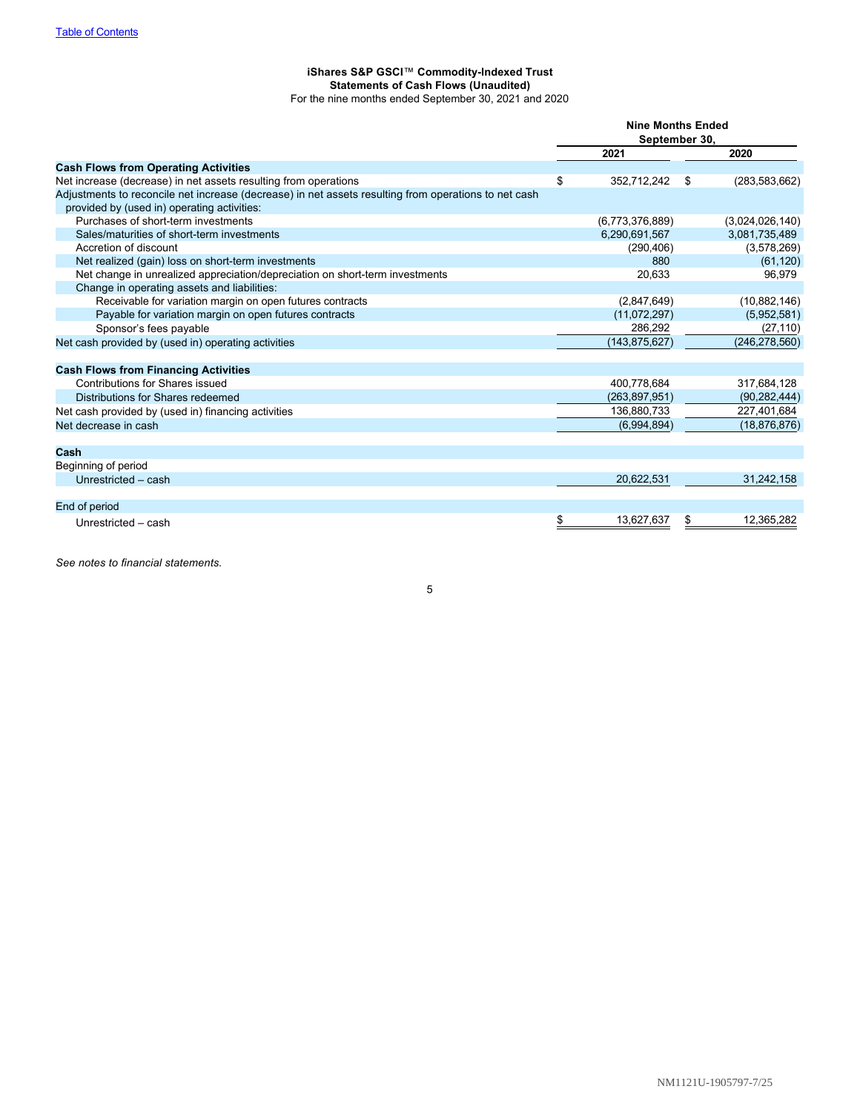# <span id="page-6-0"></span>**iShares S&P GSCI**™ **Commodity-Indexed Trust Statements of Cash Flows (Unaudited)** For the nine months ended September 30, 2021 and 2020

|                                                                                                                                                     | <b>Nine Months Ended</b><br>September 30, |                 |    |                 |  |
|-----------------------------------------------------------------------------------------------------------------------------------------------------|-------------------------------------------|-----------------|----|-----------------|--|
|                                                                                                                                                     |                                           | 2021            |    | 2020            |  |
| <b>Cash Flows from Operating Activities</b>                                                                                                         |                                           |                 |    |                 |  |
| Net increase (decrease) in net assets resulting from operations                                                                                     | \$                                        | 352,712,242     | \$ | (283, 583, 662) |  |
| Adjustments to reconcile net increase (decrease) in net assets resulting from operations to net cash<br>provided by (used in) operating activities: |                                           |                 |    |                 |  |
| Purchases of short-term investments                                                                                                                 |                                           | (6,773,376,889) |    | (3,024,026,140) |  |
| Sales/maturities of short-term investments                                                                                                          |                                           | 6,290,691,567   |    | 3,081,735,489   |  |
| Accretion of discount                                                                                                                               |                                           | (290, 406)      |    | (3,578,269)     |  |
| Net realized (gain) loss on short-term investments                                                                                                  |                                           | 880             |    | (61, 120)       |  |
| Net change in unrealized appreciation/depreciation on short-term investments                                                                        |                                           | 20,633          |    | 96,979          |  |
| Change in operating assets and liabilities:                                                                                                         |                                           |                 |    |                 |  |
| Receivable for variation margin on open futures contracts                                                                                           |                                           | (2,847,649)     |    | (10,882,146)    |  |
| Payable for variation margin on open futures contracts                                                                                              |                                           | (11,072,297)    |    | (5,952,581)     |  |
| Sponsor's fees payable                                                                                                                              |                                           | 286,292         |    | (27, 110)       |  |
| Net cash provided by (used in) operating activities                                                                                                 |                                           | (143, 875, 627) |    | (246, 278, 560) |  |
| <b>Cash Flows from Financing Activities</b>                                                                                                         |                                           |                 |    |                 |  |
| Contributions for Shares issued                                                                                                                     |                                           | 400,778,684     |    | 317,684,128     |  |
| Distributions for Shares redeemed                                                                                                                   |                                           | (263, 897, 951) |    | (90, 282, 444)  |  |
| Net cash provided by (used in) financing activities                                                                                                 |                                           | 136,880,733     |    | 227,401,684     |  |
| Net decrease in cash                                                                                                                                |                                           | (6,994,894)     |    | (18, 876, 876)  |  |
| Cash                                                                                                                                                |                                           |                 |    |                 |  |
| Beginning of period                                                                                                                                 |                                           |                 |    |                 |  |
| Unrestricted - cash                                                                                                                                 |                                           | 20,622,531      |    | 31,242,158      |  |
|                                                                                                                                                     |                                           |                 |    |                 |  |
| End of period                                                                                                                                       |                                           |                 |    |                 |  |
| Unrestricted - cash                                                                                                                                 | S                                         | 13,627,637      | S  | 12,365,282      |  |

*See notes to financial statements.*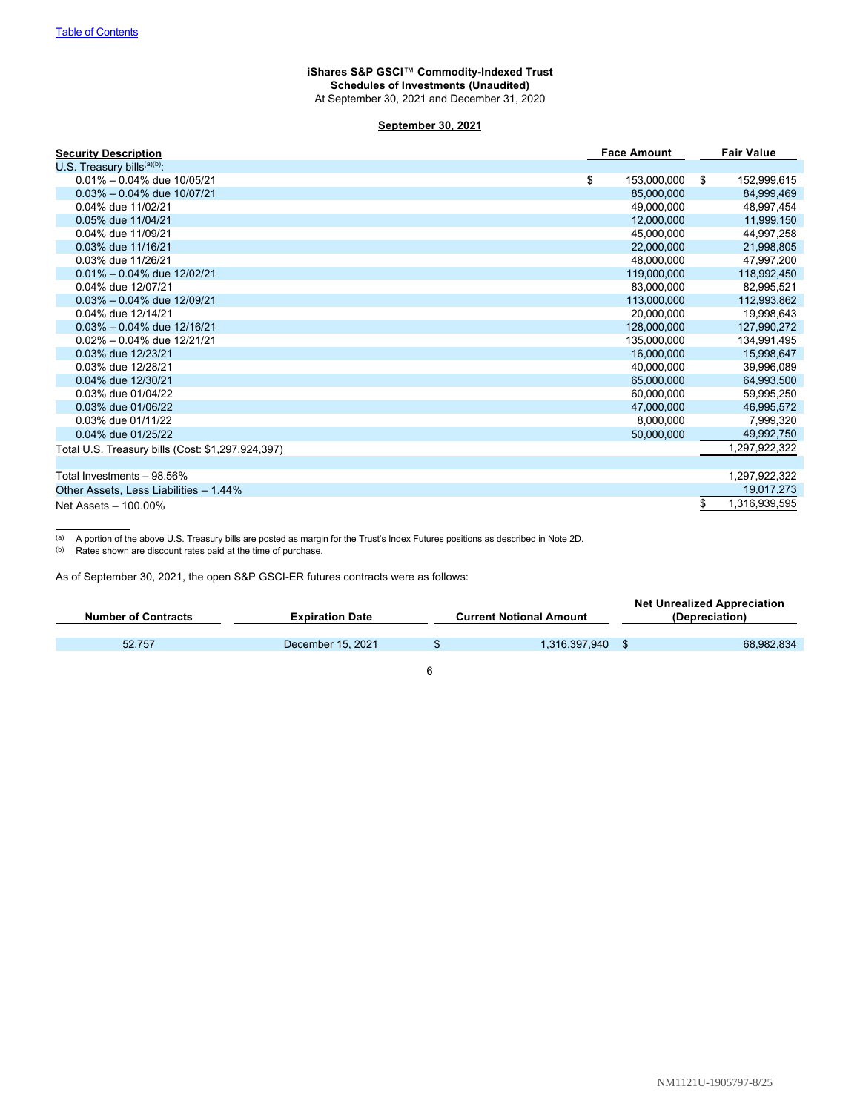# <span id="page-7-0"></span>**iShares S&P GSCI**™ **Commodity-Indexed Trust Schedules of Investments (Unaudited)** At September 30, 2021 and December 31, 2020

# **September 30, 2021**

| <b>Security Description</b>                       | <b>Face Amount</b> |             | <b>Fair Value</b>   |
|---------------------------------------------------|--------------------|-------------|---------------------|
| U.S. Treasury bills $(a)(b)$ .                    |                    |             |                     |
| $0.01\% - 0.04\%$ due 10/05/21                    | \$                 | 153,000,000 | \$<br>152,999,615   |
| $0.03\% - 0.04\%$ due 10/07/21                    |                    | 85,000,000  | 84,999,469          |
| 0.04% due 11/02/21                                |                    | 49,000,000  | 48,997,454          |
| 0.05% due 11/04/21                                |                    | 12,000,000  | 11,999,150          |
| 0.04% due 11/09/21                                |                    | 45,000,000  | 44,997,258          |
| 0.03% due 11/16/21                                |                    | 22,000,000  | 21,998,805          |
| 0.03% due 11/26/21                                |                    | 48,000,000  | 47,997,200          |
| $0.01\% - 0.04\%$ due 12/02/21                    |                    | 119,000,000 | 118,992,450         |
| 0.04% due 12/07/21                                |                    | 83,000,000  | 82,995,521          |
| $0.03\% - 0.04\%$ due 12/09/21                    |                    | 113,000,000 | 112,993,862         |
| 0.04% due 12/14/21                                |                    | 20,000,000  | 19,998,643          |
| $0.03\% - 0.04\%$ due 12/16/21                    |                    | 128,000,000 | 127,990,272         |
| $0.02\% - 0.04\%$ due 12/21/21                    |                    | 135,000,000 | 134,991,495         |
| 0.03% due 12/23/21                                |                    | 16,000,000  | 15,998,647          |
| 0.03% due 12/28/21                                |                    | 40,000,000  | 39,996,089          |
| 0.04% due 12/30/21                                |                    | 65,000,000  | 64,993,500          |
| 0.03% due 01/04/22                                |                    | 60,000,000  | 59,995,250          |
| 0.03% due 01/06/22                                |                    | 47,000,000  | 46,995,572          |
| 0.03% due 01/11/22                                |                    | 8,000,000   | 7,999,320           |
| 0.04% due 01/25/22                                |                    | 50,000,000  | 49,992,750          |
| Total U.S. Treasury bills (Cost: \$1,297,924,397) |                    |             | 1,297,922,322       |
|                                                   |                    |             |                     |
| Total Investments - 98.56%                        |                    |             | 1,297,922,322       |
| Other Assets, Less Liabilities - 1.44%            |                    |             | 19,017,273          |
| Net Assets - 100.00%                              |                    |             | \$<br>1,316,939,595 |

<sup>(a)</sup> A portion of the above U.S. Treasury bills are posted as margin for the Trust's Index Futures positions as described in Note 2D.

(b) Rates shown are discount rates paid at the time of purchase.

As of September 30, 2021, the open S&P GSCI-ER futures contracts were as follows:

| <b>Number of Contracts</b> | <b>Expiration Date</b> | <b>Current Notional Amount</b> | <b>Net Unrealized Appreciation</b><br>(Depreciation) |
|----------------------------|------------------------|--------------------------------|------------------------------------------------------|
| 52.757                     | December 15, 2021      | 1.316.397.940                  | 68.982.834                                           |
|                            |                        |                                |                                                      |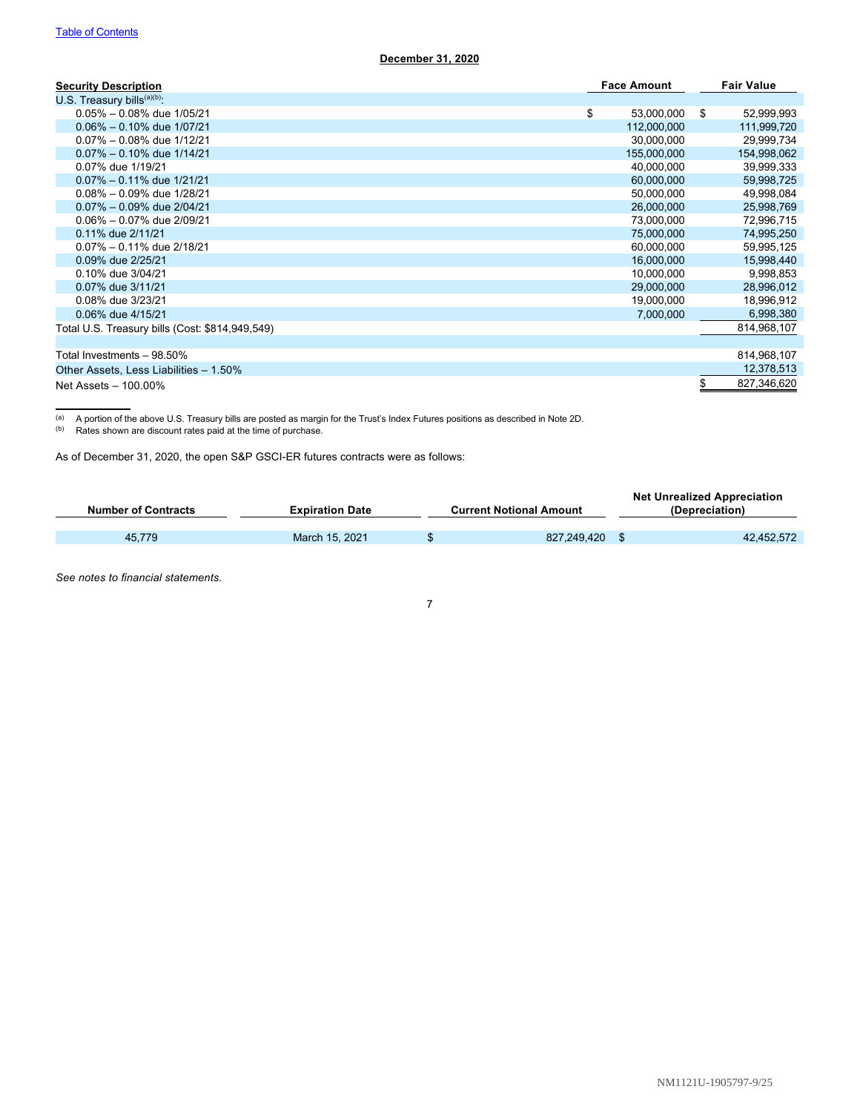| <b>Security Description</b>                     | <b>Face Amount</b> | <b>Fair Value</b> |
|-------------------------------------------------|--------------------|-------------------|
| U.S. Treasury bills $(a)(b)$ .                  |                    |                   |
| $0.05\% - 0.08\%$ due 1/05/21                   | \$<br>53,000,000   | \$<br>52,999,993  |
| $0.06\% - 0.10\%$ due 1/07/21                   | 112,000,000        | 111,999,720       |
| $0.07\% - 0.08\%$ due $1/12/21$                 | 30,000,000         | 29,999,734        |
| $0.07\% - 0.10\%$ due 1/14/21                   | 155,000,000        | 154,998,062       |
| 0.07% due 1/19/21                               | 40,000,000         | 39,999,333        |
| $0.07\% - 0.11\%$ due 1/21/21                   | 60,000,000         | 59,998,725        |
| $0.08\% - 0.09\%$ due 1/28/21                   | 50,000,000         | 49,998,084        |
| $0.07\% - 0.09\%$ due $2/04/21$                 | 26,000,000         | 25,998,769        |
| $0.06\% - 0.07\%$ due 2/09/21                   | 73,000,000         | 72,996,715        |
| 0.11% due 2/11/21                               | 75,000,000         | 74,995,250        |
| $0.07\% - 0.11\%$ due 2/18/21                   | 60,000,000         | 59,995,125        |
| 0.09% due 2/25/21                               | 16,000,000         | 15,998,440        |
| 0.10% due 3/04/21                               | 10,000,000         | 9,998,853         |
| 0.07% due 3/11/21                               | 29,000,000         | 28,996,012        |
| 0.08% due 3/23/21                               | 19,000,000         | 18,996,912        |
| 0.06% due 4/15/21                               | 7,000,000          | 6,998,380         |
| Total U.S. Treasury bills (Cost: \$814,949,549) |                    | 814,968,107       |
|                                                 |                    |                   |
| Total Investments - 98.50%                      |                    | 814,968,107       |
| Other Assets, Less Liabilities - 1.50%          |                    | 12,378,513        |
| Net Assets - 100.00%                            |                    | \$<br>827,346,620 |

 $(a)$  A portion of the above U.S. Treasury bills are posted as margin for the Trust's Index Futures positions as described in Note 2D.

(b) Rates shown are discount rates paid at the time of purchase.

As of December 31, 2020, the open S&P GSCI-ER futures contracts were as follows:

| <b>Number of Contracts</b> | <b>Expiration Date</b> | <b>Current Notional Amount</b> | <b>Net Unrealized Appreciation</b><br>(Depreciation) |
|----------------------------|------------------------|--------------------------------|------------------------------------------------------|
| 45.779                     | March 15, 2021         | 827.249.420                    | 42.452.572                                           |
|                            |                        |                                |                                                      |

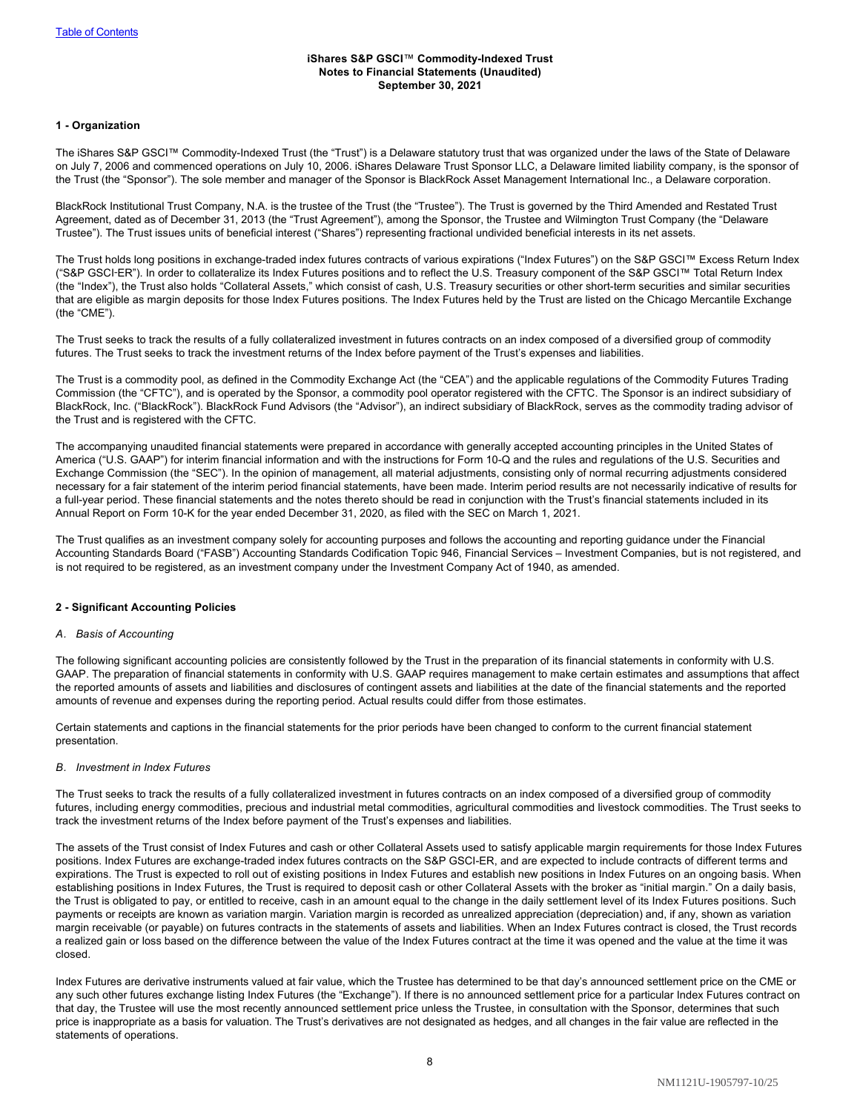# <span id="page-9-0"></span>**iShares S&P GSCI**™ **Commodity-Indexed Trust Notes to Financial Statements (Unaudited) September 30, 2021**

# **1 - Organization**

The iShares S&P GSCI™ Commodity-Indexed Trust (the "Trust") is a Delaware statutory trust that was organized under the laws of the State of Delaware on July 7, 2006 and commenced operations on July 10, 2006. iShares Delaware Trust Sponsor LLC, a Delaware limited liability company, is the sponsor of the Trust (the "Sponsor"). The sole member and manager of the Sponsor is BlackRock Asset Management International Inc., a Delaware corporation.

BlackRock Institutional Trust Company, N.A. is the trustee of the Trust (the "Trustee"). The Trust is governed by the Third Amended and Restated Trust Agreement, dated as of December 31, 2013 (the "Trust Agreement"), among the Sponsor, the Trustee and Wilmington Trust Company (the "Delaware Trustee"). The Trust issues units of beneficial interest ("Shares") representing fractional undivided beneficial interests in its net assets.

The Trust holds long positions in exchange-traded index futures contracts of various expirations ("Index Futures") on the S&P GSCI™ Excess Return Index ("S&P GSCI‑ER"). In order to collateralize its Index Futures positions and to reflect the U.S. Treasury component of the S&P GSCI™ Total Return Index (the "Index"), the Trust also holds "Collateral Assets," which consist of cash, U.S. Treasury securities or other short-term securities and similar securities that are eligible as margin deposits for those Index Futures positions. The Index Futures held by the Trust are listed on the Chicago Mercantile Exchange (the "CME").

The Trust seeks to track the results of a fully collateralized investment in futures contracts on an index composed of a diversified group of commodity futures. The Trust seeks to track the investment returns of the Index before payment of the Trust's expenses and liabilities.

The Trust is a commodity pool, as defined in the Commodity Exchange Act (the "CEA") and the applicable regulations of the Commodity Futures Trading Commission (the "CFTC"), and is operated by the Sponsor, a commodity pool operator registered with the CFTC. The Sponsor is an indirect subsidiary of BlackRock, Inc. ("BlackRock"). BlackRock Fund Advisors (the "Advisor"), an indirect subsidiary of BlackRock, serves as the commodity trading advisor of the Trust and is registered with the CFTC.

The accompanying unaudited financial statements were prepared in accordance with generally accepted accounting principles in the United States of America ("U.S. GAAP") for interim financial information and with the instructions for Form 10-Q and the rules and regulations of the U.S. Securities and Exchange Commission (the "SEC"). In the opinion of management, all material adjustments, consisting only of normal recurring adjustments considered necessary for a fair statement of the interim period financial statements, have been made. Interim period results are not necessarily indicative of results for a full-year period. These financial statements and the notes thereto should be read in conjunction with the Trust's financial statements included in its Annual Report on Form 10-K for the year ended December 31, 2020, as filed with the SEC on March 1, 2021.

The Trust qualifies as an investment company solely for accounting purposes and follows the accounting and reporting guidance under the Financial Accounting Standards Board ("FASB") Accounting Standards Codification Topic 946, Financial Services – Investment Companies, but is not registered, and is not required to be registered, as an investment company under the Investment Company Act of 1940, as amended.

# **2 - Significant Accounting Policies**

# *A. Basis of Accounting*

The following significant accounting policies are consistently followed by the Trust in the preparation of its financial statements in conformity with U.S. GAAP. The preparation of financial statements in conformity with U.S. GAAP requires management to make certain estimates and assumptions that affect the reported amounts of assets and liabilities and disclosures of contingent assets and liabilities at the date of the financial statements and the reported amounts of revenue and expenses during the reporting period. Actual results could differ from those estimates.

Certain statements and captions in the financial statements for the prior periods have been changed to conform to the current financial statement presentation.

# *B. Investment in Index Futures*

The Trust seeks to track the results of a fully collateralized investment in futures contracts on an index composed of a diversified group of commodity futures, including energy commodities, precious and industrial metal commodities, agricultural commodities and livestock commodities. The Trust seeks to track the investment returns of the Index before payment of the Trust's expenses and liabilities.

The assets of the Trust consist of Index Futures and cash or other Collateral Assets used to satisfy applicable margin requirements for those Index Futures positions. Index Futures are exchange-traded index futures contracts on the S&P GSCI-ER, and are expected to include contracts of different terms and expirations. The Trust is expected to roll out of existing positions in Index Futures and establish new positions in Index Futures on an ongoing basis. When establishing positions in Index Futures, the Trust is required to deposit cash or other Collateral Assets with the broker as "initial margin." On a daily basis, the Trust is obligated to pay, or entitled to receive, cash in an amount equal to the change in the daily settlement level of its Index Futures positions. Such payments or receipts are known as variation margin. Variation margin is recorded as unrealized appreciation (depreciation) and, if any, shown as variation margin receivable (or payable) on futures contracts in the statements of assets and liabilities. When an Index Futures contract is closed, the Trust records a realized gain or loss based on the difference between the value of the Index Futures contract at the time it was opened and the value at the time it was closed.

Index Futures are derivative instruments valued at fair value, which the Trustee has determined to be that day's announced settlement price on the CME or any such other futures exchange listing Index Futures (the "Exchange"). If there is no announced settlement price for a particular Index Futures contract on that day, the Trustee will use the most recently announced settlement price unless the Trustee, in consultation with the Sponsor, determines that such price is inappropriate as a basis for valuation. The Trust's derivatives are not designated as hedges, and all changes in the fair value are reflected in the statements of operations.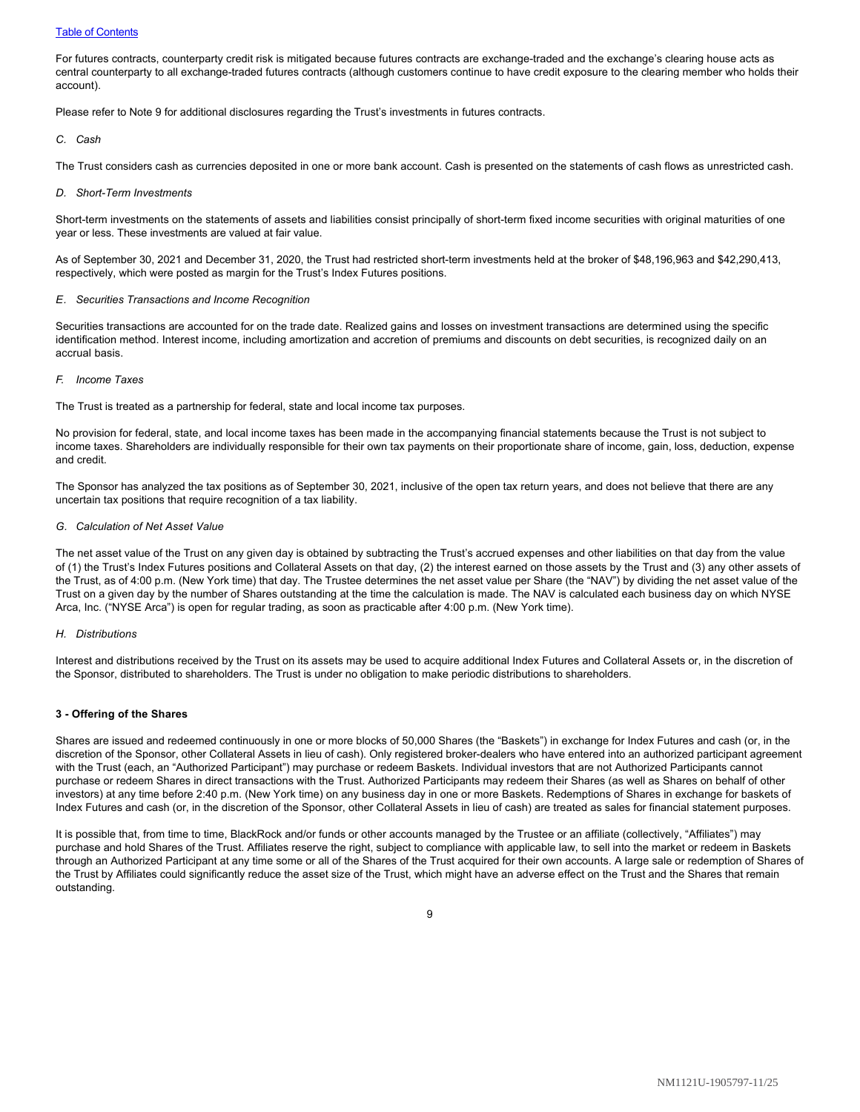# **[Table of Contents](#page-1-0)**

For futures contracts, counterparty credit risk is mitigated because futures contracts are exchange-traded and the exchange's clearing house acts as central counterparty to all exchange-traded futures contracts (although customers continue to have credit exposure to the clearing member who holds their account).

Please refer to Note 9 for additional disclosures regarding the Trust's investments in futures contracts.

#### *C. Cash*

The Trust considers cash as currencies deposited in one or more bank account. Cash is presented on the statements of cash flows as unrestricted cash.

#### *D. Short-Term Investments*

Short-term investments on the statements of assets and liabilities consist principally of short-term fixed income securities with original maturities of one year or less. These investments are valued at fair value.

As of September 30, 2021 and December 31, 2020, the Trust had restricted short-term investments held at the broker of \$48,196,963 and \$42,290,413, respectively, which were posted as margin for the Trust's Index Futures positions.

# *E. Securities Transactions and Income Recognition*

Securities transactions are accounted for on the trade date. Realized gains and losses on investment transactions are determined using the specific identification method. Interest income, including amortization and accretion of premiums and discounts on debt securities, is recognized daily on an accrual basis.

# *F. Income Taxes*

The Trust is treated as a partnership for federal, state and local income tax purposes.

No provision for federal, state, and local income taxes has been made in the accompanying financial statements because the Trust is not subject to income taxes. Shareholders are individually responsible for their own tax payments on their proportionate share of income, gain, loss, deduction, expense and credit.

The Sponsor has analyzed the tax positions as of September 30, 2021, inclusive of the open tax return years, and does not believe that there are any uncertain tax positions that require recognition of a tax liability.

#### *G. Calculation of Net Asset Value*

The net asset value of the Trust on any given day is obtained by subtracting the Trust's accrued expenses and other liabilities on that day from the value of (1) the Trust's Index Futures positions and Collateral Assets on that day, (2) the interest earned on those assets by the Trust and (3) any other assets of the Trust, as of 4:00 p.m. (New York time) that day. The Trustee determines the net asset value per Share (the "NAV") by dividing the net asset value of the Trust on a given day by the number of Shares outstanding at the time the calculation is made. The NAV is calculated each business day on which NYSE Arca, Inc. ("NYSE Arca") is open for regular trading, as soon as practicable after 4:00 p.m. (New York time).

# *H. Distributions*

Interest and distributions received by the Trust on its assets may be used to acquire additional Index Futures and Collateral Assets or, in the discretion of the Sponsor, distributed to shareholders. The Trust is under no obligation to make periodic distributions to shareholders.

# **3 - Offering of the Shares**

Shares are issued and redeemed continuously in one or more blocks of 50,000 Shares (the "Baskets") in exchange for Index Futures and cash (or, in the discretion of the Sponsor, other Collateral Assets in lieu of cash). Only registered broker-dealers who have entered into an authorized participant agreement with the Trust (each, an "Authorized Participant") may purchase or redeem Baskets. Individual investors that are not Authorized Participants cannot purchase or redeem Shares in direct transactions with the Trust. Authorized Participants may redeem their Shares (as well as Shares on behalf of other investors) at any time before 2:40 p.m. (New York time) on any business day in one or more Baskets. Redemptions of Shares in exchange for baskets of Index Futures and cash (or, in the discretion of the Sponsor, other Collateral Assets in lieu of cash) are treated as sales for financial statement purposes.

It is possible that, from time to time, BlackRock and/or funds or other accounts managed by the Trustee or an affiliate (collectively, "Affiliates") may purchase and hold Shares of the Trust. Affiliates reserve the right, subject to compliance with applicable law, to sell into the market or redeem in Baskets through an Authorized Participant at any time some or all of the Shares of the Trust acquired for their own accounts. A large sale or redemption of Shares of the Trust by Affiliates could significantly reduce the asset size of the Trust, which might have an adverse effect on the Trust and the Shares that remain outstanding.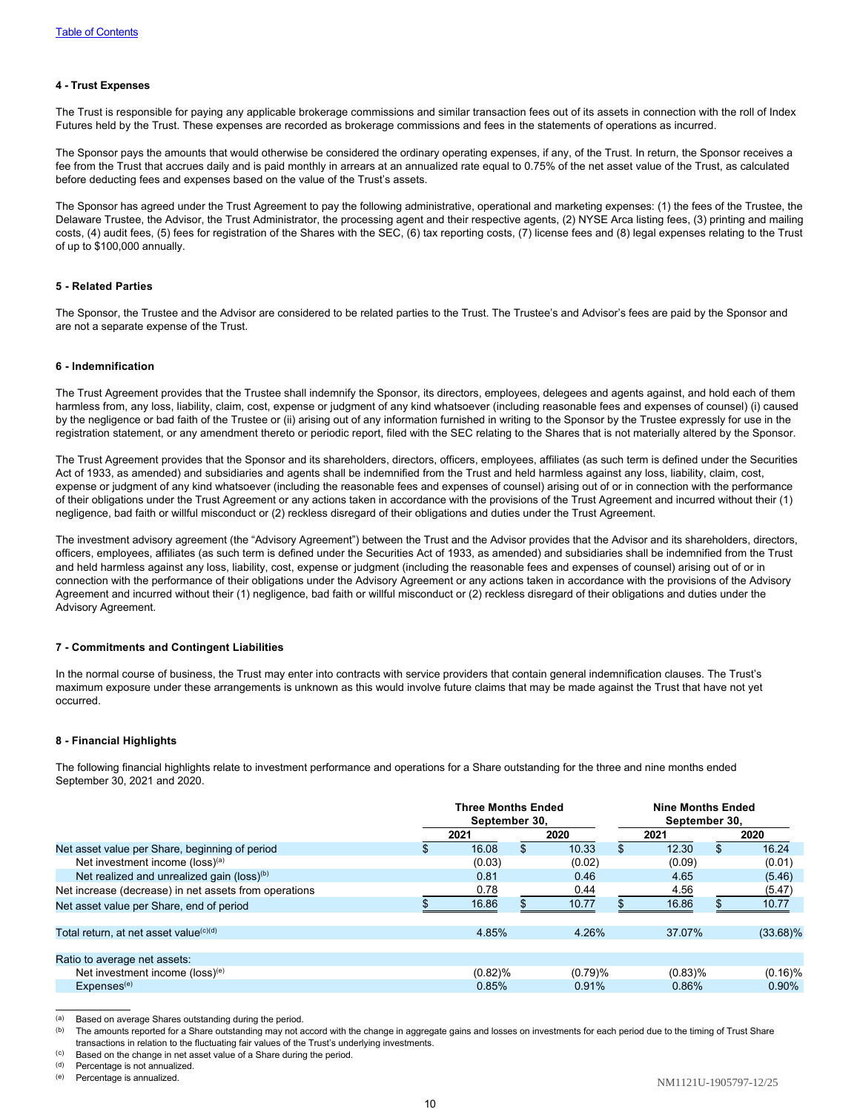# **4 - Trust Expenses**

The Trust is responsible for paying any applicable brokerage commissions and similar transaction fees out of its assets in connection with the roll of Index Futures held by the Trust. These expenses are recorded as brokerage commissions and fees in the statements of operations as incurred.

The Sponsor pays the amounts that would otherwise be considered the ordinary operating expenses, if any, of the Trust. In return, the Sponsor receives a fee from the Trust that accrues daily and is paid monthly in arrears at an annualized rate equal to 0.75% of the net asset value of the Trust, as calculated before deducting fees and expenses based on the value of the Trust's assets.

The Sponsor has agreed under the Trust Agreement to pay the following administrative, operational and marketing expenses: (1) the fees of the Trustee, the Delaware Trustee, the Advisor, the Trust Administrator, the processing agent and their respective agents, (2) NYSE Arca listing fees, (3) printing and mailing costs, (4) audit fees, (5) fees for registration of the Shares with the SEC, (6) tax reporting costs, (7) license fees and (8) legal expenses relating to the Trust of up to \$100,000 annually.

# **5 - Related Parties**

The Sponsor, the Trustee and the Advisor are considered to be related parties to the Trust. The Trustee's and Advisor's fees are paid by the Sponsor and are not a separate expense of the Trust.

# **6 - Indemnification**

The Trust Agreement provides that the Trustee shall indemnify the Sponsor, its directors, employees, delegees and agents against, and hold each of them harmless from, any loss, liability, claim, cost, expense or judgment of any kind whatsoever (including reasonable fees and expenses of counsel) (i) caused by the negligence or bad faith of the Trustee or (ii) arising out of any information furnished in writing to the Sponsor by the Trustee expressly for use in the registration statement, or any amendment thereto or periodic report, filed with the SEC relating to the Shares that is not materially altered by the Sponsor.

The Trust Agreement provides that the Sponsor and its shareholders, directors, officers, employees, affiliates (as such term is defined under the Securities Act of 1933, as amended) and subsidiaries and agents shall be indemnified from the Trust and held harmless against any loss, liability, claim, cost, expense or judgment of any kind whatsoever (including the reasonable fees and expenses of counsel) arising out of or in connection with the performance of their obligations under the Trust Agreement or any actions taken in accordance with the provisions of the Trust Agreement and incurred without their (1) negligence, bad faith or willful misconduct or (2) reckless disregard of their obligations and duties under the Trust Agreement.

The investment advisory agreement (the "Advisory Agreement") between the Trust and the Advisor provides that the Advisor and its shareholders, directors, officers, employees, affiliates (as such term is defined under the Securities Act of 1933, as amended) and subsidiaries shall be indemnified from the Trust and held harmless against any loss, liability, cost, expense or judgment (including the reasonable fees and expenses of counsel) arising out of or in connection with the performance of their obligations under the Advisory Agreement or any actions taken in accordance with the provisions of the Advisory Agreement and incurred without their (1) negligence, bad faith or willful misconduct or (2) reckless disregard of their obligations and duties under the Advisory Agreement.

# **7 - Commitments and Contingent Liabilities**

In the normal course of business, the Trust may enter into contracts with service providers that contain general indemnification clauses. The Trust's maximum exposure under these arrangements is unknown as this would involve future claims that may be made against the Trust that have not yet occurred.

# **8 - Financial Highlights**

The following financial highlights relate to investment performance and operations for a Share outstanding for the three and nine months ended September 30, 2021 and 2020.

|                                                        | <b>Three Months Ended</b><br>September 30. |            |    |            |  | <b>Nine Months Ended</b><br>September 30. |    |             |  |
|--------------------------------------------------------|--------------------------------------------|------------|----|------------|--|-------------------------------------------|----|-------------|--|
|                                                        |                                            | 2021       |    | 2020       |  | 2021                                      |    | 2020        |  |
| Net asset value per Share, beginning of period         |                                            | 16.08      | \$ | 10.33      |  | 12.30                                     | \$ | 16.24       |  |
| Net investment income (loss) <sup>(a)</sup>            |                                            | (0.03)     |    | (0.02)     |  | (0.09)                                    |    | (0.01)      |  |
| Net realized and unrealized gain (loss) <sup>(b)</sup> |                                            | 0.81       |    | 0.46       |  | 4.65                                      |    | (5.46)      |  |
| Net increase (decrease) in net assets from operations  |                                            | 0.78       |    | 0.44       |  | 4.56                                      |    | (5.47)      |  |
| Net asset value per Share, end of period               |                                            | 16.86      |    | 10.77      |  | 16.86                                     |    | 10.77       |  |
| Total return, at net asset value <sup>(c)(d)</sup>     |                                            | 4.85%      |    | 4.26%      |  | 37.07%                                    |    | $(33.68)\%$ |  |
| Ratio to average net assets:                           |                                            |            |    |            |  |                                           |    |             |  |
| Net investment income $(\text{loss})^{(e)}$            |                                            | $(0.82)$ % |    | $(0.79)$ % |  | $(0.83)$ %                                |    | $(0.16)\%$  |  |
| Expenses <sup>(e)</sup>                                |                                            | 0.85%      |    | 0.91%      |  | 0.86%                                     |    | 0.90%       |  |

(a) Based on average Shares outstanding during the period.<br>(b) The amounts reported for a Share outstanding may not a

The amounts reported for a Share outstanding may not accord with the change in aggregate gains and losses on investments for each period due to the timing of Trust Share transactions in relation to the fluctuating fair values of the Trust's underlying investments.

(c) Based on the change in net asset value of a Share during the period.

(d) Percentage is not annualized.

(e) Percentage is annualized.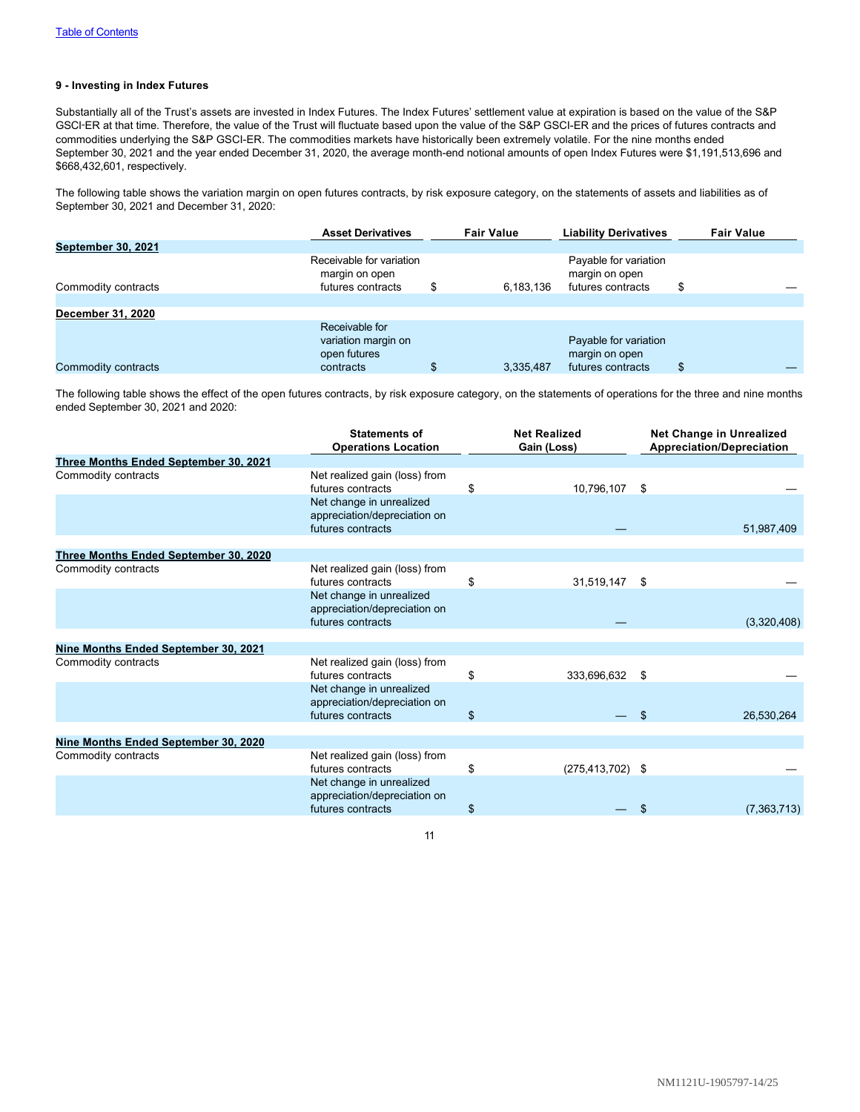# **9 - Investing in Index Futures**

Substantially all of the Trust's assets are invested in Index Futures. The Index Futures' settlement value at expiration is based on the value of the S&P GSCI-ER at that time. Therefore, the value of the Trust will fluctuate based upon the value of the S&P GSCI-ER and the prices of futures contracts and commodities underlying the S&P GSCI-ER. The commodities markets have historically been extremely volatile. For the nine months ended September 30, 2021 and the year ended December 31, 2020, the average month-end notional amounts of open Index Futures were \$1,191,513,696 and \$668,432,601, respectively.

The following table shows the variation margin on open futures contracts, by risk exposure category, on the statements of assets and liabilities as of September 30, 2021 and December 31, 2020:

|                           | <b>Asset Derivatives</b>                                           | <b>Fair Value</b> | <b>Liability Derivatives</b>                                 | <b>Fair Value</b> |  |
|---------------------------|--------------------------------------------------------------------|-------------------|--------------------------------------------------------------|-------------------|--|
| <b>September 30, 2021</b> |                                                                    |                   |                                                              |                   |  |
|                           | Receivable for variation<br>margin on open                         |                   | Payable for variation<br>margin on open                      |                   |  |
| Commodity contracts       | futures contracts                                                  | 6,183,136         | futures contracts                                            | S                 |  |
|                           |                                                                    |                   |                                                              |                   |  |
| December 31, 2020         |                                                                    |                   |                                                              |                   |  |
| Commodity contracts       | Receivable for<br>variation margin on<br>open futures<br>contracts | 3,335,487         | Payable for variation<br>margin on open<br>futures contracts | S                 |  |

The following table shows the effect of the open futures contracts, by risk exposure category, on the statements of operations for the three and nine months ended September 30, 2021 and 2020:

| <b>Statements of</b><br><b>Operations Location</b>                            |                                                    | <b>Net Realized</b><br>Gain (Loss) | Net Change in Unrealized<br><b>Appreciation/Depreciation</b> |
|-------------------------------------------------------------------------------|----------------------------------------------------|------------------------------------|--------------------------------------------------------------|
|                                                                               |                                                    |                                    |                                                              |
| Net realized gain (loss) from<br>futures contracts                            | \$                                                 | 10,796,107                         | \$                                                           |
| Net change in unrealized<br>appreciation/depreciation on<br>futures contracts |                                                    |                                    | 51,987,409                                                   |
|                                                                               |                                                    |                                    |                                                              |
| Net realized gain (loss) from<br>futures contracts                            |                                                    |                                    | \$                                                           |
| Net change in unrealized<br>appreciation/depreciation on                      |                                                    |                                    | (3,320,408)                                                  |
|                                                                               |                                                    |                                    |                                                              |
|                                                                               |                                                    |                                    |                                                              |
| Net realized gain (loss) from<br>futures contracts                            | \$                                                 |                                    | S                                                            |
| Net change in unrealized<br>appreciation/depreciation on                      |                                                    |                                    |                                                              |
| futures contracts                                                             | \$                                                 |                                    | $\mathfrak{L}$<br>26,530,264                                 |
|                                                                               |                                                    |                                    |                                                              |
|                                                                               |                                                    |                                    |                                                              |
| futures contracts                                                             | \$                                                 |                                    |                                                              |
| Net change in unrealized<br>appreciation/depreciation on                      |                                                    |                                    |                                                              |
| futures contracts                                                             | \$                                                 |                                    | (7,363,713)<br>\$                                            |
|                                                                               | futures contracts<br>Net realized gain (loss) from | \$                                 | 31,519,147<br>333,696,632<br>$(275, 413, 702)$ \$            |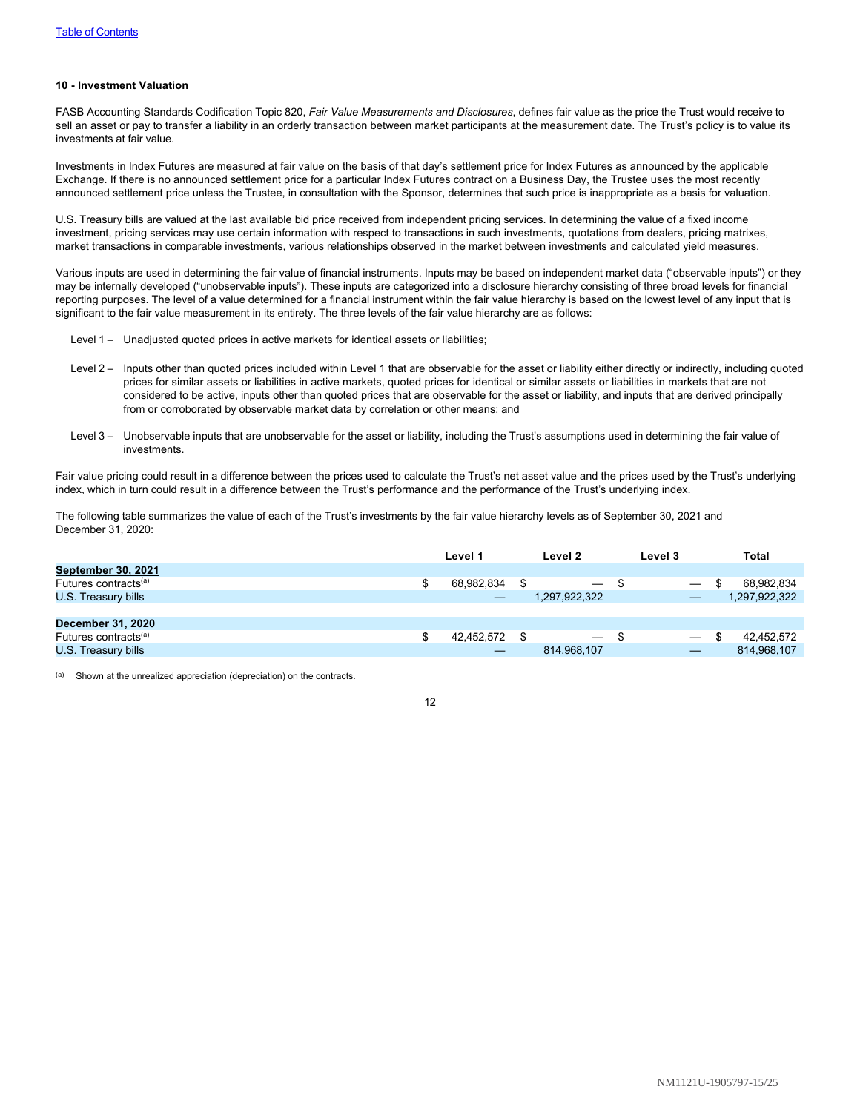# **10 - Investment Valuation**

FASB Accounting Standards Codification Topic 820, *Fair Value Measurements and Disclosures*, defines fair value as the price the Trust would receive to sell an asset or pay to transfer a liability in an orderly transaction between market participants at the measurement date. The Trust's policy is to value its investments at fair value.

Investments in Index Futures are measured at fair value on the basis of that day's settlement price for Index Futures as announced by the applicable Exchange. If there is no announced settlement price for a particular Index Futures contract on a Business Day, the Trustee uses the most recently announced settlement price unless the Trustee, in consultation with the Sponsor, determines that such price is inappropriate as a basis for valuation.

U.S. Treasury bills are valued at the last available bid price received from independent pricing services. In determining the value of a fixed income investment, pricing services may use certain information with respect to transactions in such investments, quotations from dealers, pricing matrixes, market transactions in comparable investments, various relationships observed in the market between investments and calculated yield measures.

Various inputs are used in determining the fair value of financial instruments. Inputs may be based on independent market data ("observable inputs") or they may be internally developed ("unobservable inputs"). These inputs are categorized into a disclosure hierarchy consisting of three broad levels for financial reporting purposes. The level of a value determined for a financial instrument within the fair value hierarchy is based on the lowest level of any input that is significant to the fair value measurement in its entirety. The three levels of the fair value hierarchy are as follows:

- Level 1 Unadjusted quoted prices in active markets for identical assets or liabilities;
- Level 2 Inputs other than quoted prices included within Level 1 that are observable for the asset or liability either directly or indirectly, including quoted prices for similar assets or liabilities in active markets, quoted prices for identical or similar assets or liabilities in markets that are not considered to be active, inputs other than quoted prices that are observable for the asset or liability, and inputs that are derived principally from or corroborated by observable market data by correlation or other means; and
- Level 3 Unobservable inputs that are unobservable for the asset or liability, including the Trust's assumptions used in determining the fair value of **investments**

Fair value pricing could result in a difference between the prices used to calculate the Trust's net asset value and the prices used by the Trust's underlying index, which in turn could result in a difference between the Trust's performance and the performance of the Trust's underlying index.

The following table summarizes the value of each of the Trust's investments by the fair value hierarchy levels as of September 30, 2021 and December 31, 2020:

|                                  | Level 1    |  | Level 2                  |  | Level 3                       |   | Total         |  |
|----------------------------------|------------|--|--------------------------|--|-------------------------------|---|---------------|--|
| <b>September 30, 2021</b>        |            |  |                          |  |                               |   |               |  |
| Futures contracts <sup>(a)</sup> | 68.982.834 |  | $\overline{\phantom{0}}$ |  | $\overbrace{\phantom{13333}}$ | S | 68,982,834    |  |
| U.S. Treasury bills              |            |  | 1.297.922.322            |  |                               |   | 1,297,922,322 |  |
|                                  |            |  |                          |  |                               |   |               |  |
| <b>December 31, 2020</b>         |            |  |                          |  |                               |   |               |  |
| Futures contracts <sup>(a)</sup> | 42.452.572 |  | $\overline{\phantom{0}}$ |  | $\qquad \qquad -$             | S | 42.452.572    |  |
| U.S. Treasury bills              |            |  | 814,968,107              |  |                               |   | 814,968,107   |  |
|                                  |            |  |                          |  |                               |   |               |  |

(a) Shown at the unrealized appreciation (depreciation) on the contracts.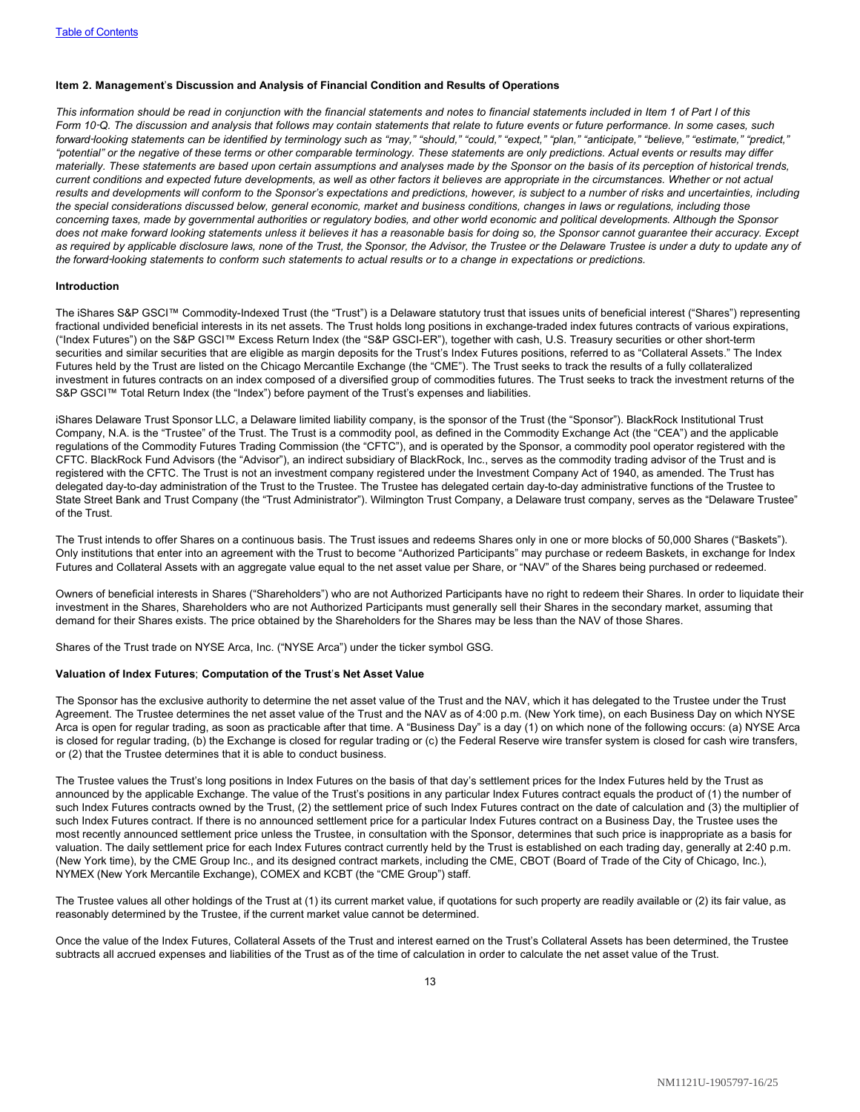# <span id="page-15-0"></span>**Item 2. Management**'**s Discussion and Analysis of Financial Condition and Results of Operations**

*This information should be read in conjunction with the financial statements and notes to financial statements included in Item 1 of Part I of this Form 10*‑*Q. The discussion and analysis that follows may contain statements that relate to future events or future performance. In some cases, such forward*‑*looking statements can be identified by terminology such as "may," "should," "could," "expect," "plan," "anticipate," "believe," "estimate," "predict," "potential" or the negative of these terms or other comparable terminology. These statements are only predictions. Actual events or results may differ materially. These statements are based upon certain assumptions and analyses made by the Sponsor on the basis of its perception of historical trends, current conditions and expected future developments, as well as other factors it believes are appropriate in the circumstances. Whether or not actual results and developments will conform to the Sponsor's expectations and predictions, however, is subject to a number of risks and uncertainties, including the special considerations discussed below, general economic, market and business conditions, changes in laws or regulations, including those concerning taxes, made by governmental authorities or regulatory bodies, and other world economic and political developments. Although the Sponsor does not make forward looking statements unless it believes it has a reasonable basis for doing so, the Sponsor cannot guarantee their accuracy. Except* as required by applicable disclosure laws, none of the Trust, the Sponsor, the Advisor, the Trustee or the Delaware Trustee is under a duty to update any of *the forward*‑*looking statements to conform such statements to actual results or to a change in expectations or predictions.*

# **Introduction**

The iShares S&P GSCI™ Commodity-Indexed Trust (the "Trust") is a Delaware statutory trust that issues units of beneficial interest ("Shares") representing fractional undivided beneficial interests in its net assets. The Trust holds long positions in exchange-traded index futures contracts of various expirations, ("Index Futures") on the S&P GSCI™ Excess Return Index (the "S&P GSCI-ER"), together with cash, U.S. Treasury securities or other short-term securities and similar securities that are eligible as margin deposits for the Trust's Index Futures positions, referred to as "Collateral Assets." The Index Futures held by the Trust are listed on the Chicago Mercantile Exchange (the "CME"). The Trust seeks to track the results of a fully collateralized investment in futures contracts on an index composed of a diversified group of commodities futures. The Trust seeks to track the investment returns of the S&P GSCI™ Total Return Index (the "Index") before payment of the Trust's expenses and liabilities.

iShares Delaware Trust Sponsor LLC, a Delaware limited liability company, is the sponsor of the Trust (the "Sponsor"). BlackRock Institutional Trust Company, N.A. is the "Trustee" of the Trust. The Trust is a commodity pool, as defined in the Commodity Exchange Act (the "CEA") and the applicable regulations of the Commodity Futures Trading Commission (the "CFTC"), and is operated by the Sponsor, a commodity pool operator registered with the CFTC. BlackRock Fund Advisors (the "Advisor"), an indirect subsidiary of BlackRock, Inc., serves as the commodity trading advisor of the Trust and is registered with the CFTC. The Trust is not an investment company registered under the Investment Company Act of 1940, as amended. The Trust has delegated day-to-day administration of the Trust to the Trustee. The Trustee has delegated certain day-to-day administrative functions of the Trustee to State Street Bank and Trust Company (the "Trust Administrator"). Wilmington Trust Company, a Delaware trust company, serves as the "Delaware Trustee" of the Trust.

The Trust intends to offer Shares on a continuous basis. The Trust issues and redeems Shares only in one or more blocks of 50,000 Shares ("Baskets"). Only institutions that enter into an agreement with the Trust to become "Authorized Participants" may purchase or redeem Baskets, in exchange for Index Futures and Collateral Assets with an aggregate value equal to the net asset value per Share, or "NAV" of the Shares being purchased or redeemed.

Owners of beneficial interests in Shares ("Shareholders") who are not Authorized Participants have no right to redeem their Shares. In order to liquidate their investment in the Shares, Shareholders who are not Authorized Participants must generally sell their Shares in the secondary market, assuming that demand for their Shares exists. The price obtained by the Shareholders for the Shares may be less than the NAV of those Shares.

Shares of the Trust trade on NYSE Arca, Inc. ("NYSE Arca") under the ticker symbol GSG.

# **Valuation of Index Futures**; **Computation of the Trust**'**s Net Asset Value**

The Sponsor has the exclusive authority to determine the net asset value of the Trust and the NAV, which it has delegated to the Trustee under the Trust Agreement. The Trustee determines the net asset value of the Trust and the NAV as of 4:00 p.m. (New York time), on each Business Day on which NYSE Arca is open for regular trading, as soon as practicable after that time. A "Business Day" is a day (1) on which none of the following occurs: (a) NYSE Arca is closed for regular trading, (b) the Exchange is closed for regular trading or (c) the Federal Reserve wire transfer system is closed for cash wire transfers, or (2) that the Trustee determines that it is able to conduct business.

The Trustee values the Trust's long positions in Index Futures on the basis of that day's settlement prices for the Index Futures held by the Trust as announced by the applicable Exchange. The value of the Trust's positions in any particular Index Futures contract equals the product of (1) the number of such Index Futures contracts owned by the Trust, (2) the settlement price of such Index Futures contract on the date of calculation and (3) the multiplier of such Index Futures contract. If there is no announced settlement price for a particular Index Futures contract on a Business Day, the Trustee uses the most recently announced settlement price unless the Trustee, in consultation with the Sponsor, determines that such price is inappropriate as a basis for valuation. The daily settlement price for each Index Futures contract currently held by the Trust is established on each trading day, generally at 2:40 p.m. (New York time), by the CME Group Inc., and its designed contract markets, including the CME, CBOT (Board of Trade of the City of Chicago, Inc.), NYMEX (New York Mercantile Exchange), COMEX and KCBT (the "CME Group") staff.

The Trustee values all other holdings of the Trust at (1) its current market value, if quotations for such property are readily available or (2) its fair value, as reasonably determined by the Trustee, if the current market value cannot be determined.

Once the value of the Index Futures, Collateral Assets of the Trust and interest earned on the Trust's Collateral Assets has been determined, the Trustee subtracts all accrued expenses and liabilities of the Trust as of the time of calculation in order to calculate the net asset value of the Trust.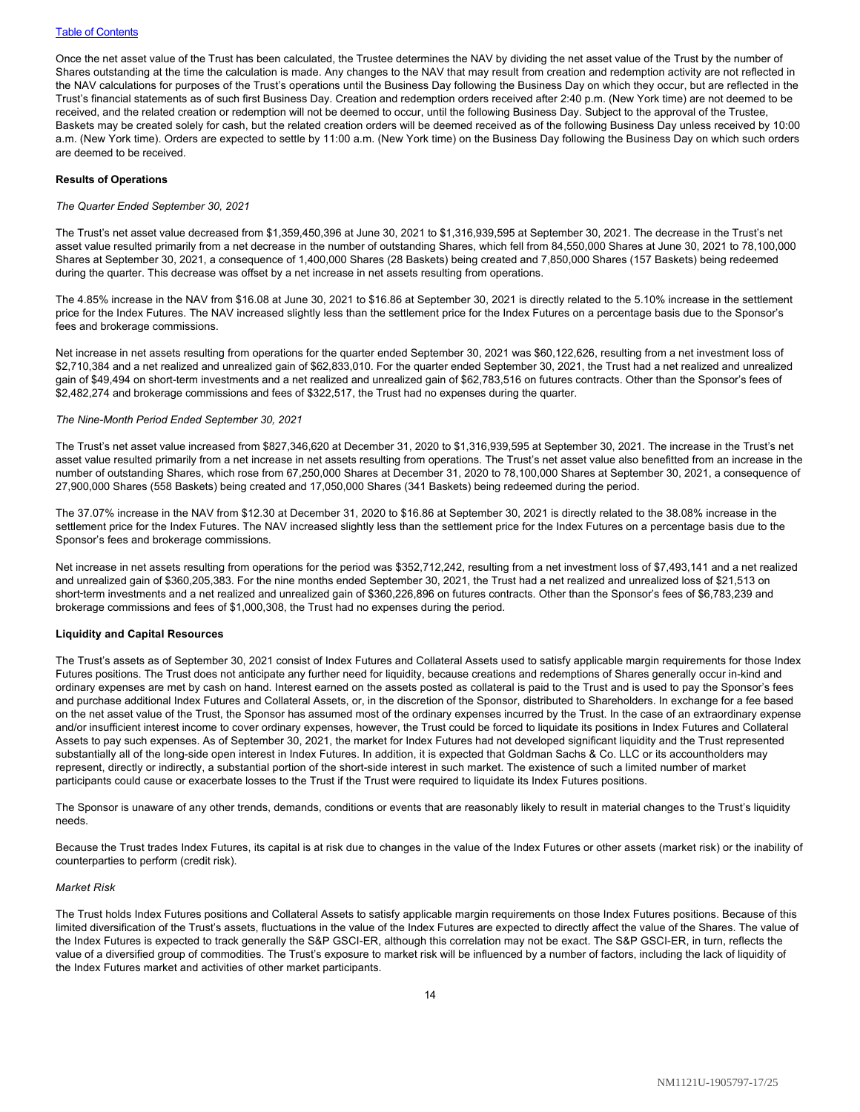Once the net asset value of the Trust has been calculated, the Trustee determines the NAV by dividing the net asset value of the Trust by the number of Shares outstanding at the time the calculation is made. Any changes to the NAV that may result from creation and redemption activity are not reflected in the NAV calculations for purposes of the Trust's operations until the Business Day following the Business Day on which they occur, but are reflected in the Trust's financial statements as of such first Business Day. Creation and redemption orders received after 2:40 p.m. (New York time) are not deemed to be received, and the related creation or redemption will not be deemed to occur, until the following Business Day. Subject to the approval of the Trustee, Baskets may be created solely for cash, but the related creation orders will be deemed received as of the following Business Day unless received by 10:00 a.m. (New York time). Orders are expected to settle by 11:00 a.m. (New York time) on the Business Day following the Business Day on which such orders are deemed to be received.

# **Results of Operations**

#### *The Quarter Ended September 30, 2021*

The Trust's net asset value decreased from \$1,359,450,396 at June 30, 2021 to \$1,316,939,595 at September 30, 2021. The decrease in the Trust's net asset value resulted primarily from a net decrease in the number of outstanding Shares, which fell from 84,550,000 Shares at June 30, 2021 to 78,100,000 Shares at September 30, 2021, a consequence of 1,400,000 Shares (28 Baskets) being created and 7,850,000 Shares (157 Baskets) being redeemed during the quarter. This decrease was offset by a net increase in net assets resulting from operations.

The 4.85% increase in the NAV from \$16.08 at June 30, 2021 to \$16.86 at September 30, 2021 is directly related to the 5.10% increase in the settlement price for the Index Futures. The NAV increased slightly less than the settlement price for the Index Futures on a percentage basis due to the Sponsor's fees and brokerage commissions.

Net increase in net assets resulting from operations for the quarter ended September 30, 2021 was \$60,122,626, resulting from a net investment loss of \$2,710,384 and a net realized and unrealized gain of \$62,833,010. For the quarter ended September 30, 2021, the Trust had a net realized and unrealized gain of \$49,494 on short-term investments and a net realized and unrealized gain of \$62,783,516 on futures contracts. Other than the Sponsor's fees of \$2,482,274 and brokerage commissions and fees of \$322,517, the Trust had no expenses during the quarter.

#### *The Nine-Month Period Ended September 30, 2021*

The Trust's net asset value increased from \$827,346,620 at December 31, 2020 to \$1,316,939,595 at September 30, 2021. The increase in the Trust's net asset value resulted primarily from a net increase in net assets resulting from operations. The Trust's net asset value also benefitted from an increase in the number of outstanding Shares, which rose from 67,250,000 Shares at December 31, 2020 to 78,100,000 Shares at September 30, 2021, a consequence of 27,900,000 Shares (558 Baskets) being created and 17,050,000 Shares (341 Baskets) being redeemed during the period.

The 37.07% increase in the NAV from \$12.30 at December 31, 2020 to \$16.86 at September 30, 2021 is directly related to the 38.08% increase in the settlement price for the Index Futures. The NAV increased slightly less than the settlement price for the Index Futures on a percentage basis due to the Sponsor's fees and brokerage commissions.

Net increase in net assets resulting from operations for the period was \$352,712,242, resulting from a net investment loss of \$7,493,141 and a net realized and unrealized gain of \$360,205,383. For the nine months ended September 30, 2021, the Trust had a net realized and unrealized loss of \$21,513 on short-term investments and a net realized and unrealized gain of \$360,226,896 on futures contracts. Other than the Sponsor's fees of \$6,783,239 and brokerage commissions and fees of \$1,000,308, the Trust had no expenses during the period.

# **Liquidity and Capital Resources**

The Trust's assets as of September 30, 2021 consist of Index Futures and Collateral Assets used to satisfy applicable margin requirements for those Index Futures positions. The Trust does not anticipate any further need for liquidity, because creations and redemptions of Shares generally occur in-kind and ordinary expenses are met by cash on hand. Interest earned on the assets posted as collateral is paid to the Trust and is used to pay the Sponsor's fees and purchase additional Index Futures and Collateral Assets, or, in the discretion of the Sponsor, distributed to Shareholders. In exchange for a fee based on the net asset value of the Trust, the Sponsor has assumed most of the ordinary expenses incurred by the Trust. In the case of an extraordinary expense and/or insufficient interest income to cover ordinary expenses, however, the Trust could be forced to liquidate its positions in Index Futures and Collateral Assets to pay such expenses. As of September 30, 2021, the market for Index Futures had not developed significant liquidity and the Trust represented substantially all of the long-side open interest in Index Futures. In addition, it is expected that Goldman Sachs & Co. LLC or its accountholders may represent, directly or indirectly, a substantial portion of the short-side interest in such market. The existence of such a limited number of market participants could cause or exacerbate losses to the Trust if the Trust were required to liquidate its Index Futures positions.

The Sponsor is unaware of any other trends, demands, conditions or events that are reasonably likely to result in material changes to the Trust's liquidity needs.

Because the Trust trades Index Futures, its capital is at risk due to changes in the value of the Index Futures or other assets (market risk) or the inability of counterparties to perform (credit risk).

#### *Market Risk*

The Trust holds Index Futures positions and Collateral Assets to satisfy applicable margin requirements on those Index Futures positions. Because of this limited diversification of the Trust's assets, fluctuations in the value of the Index Futures are expected to directly affect the value of the Shares. The value of the Index Futures is expected to track generally the S&P GSCI-ER, although this correlation may not be exact. The S&P GSCI-ER, in turn, reflects the value of a diversified group of commodities. The Trust's exposure to market risk will be influenced by a number of factors, including the lack of liquidity of the Index Futures market and activities of other market participants.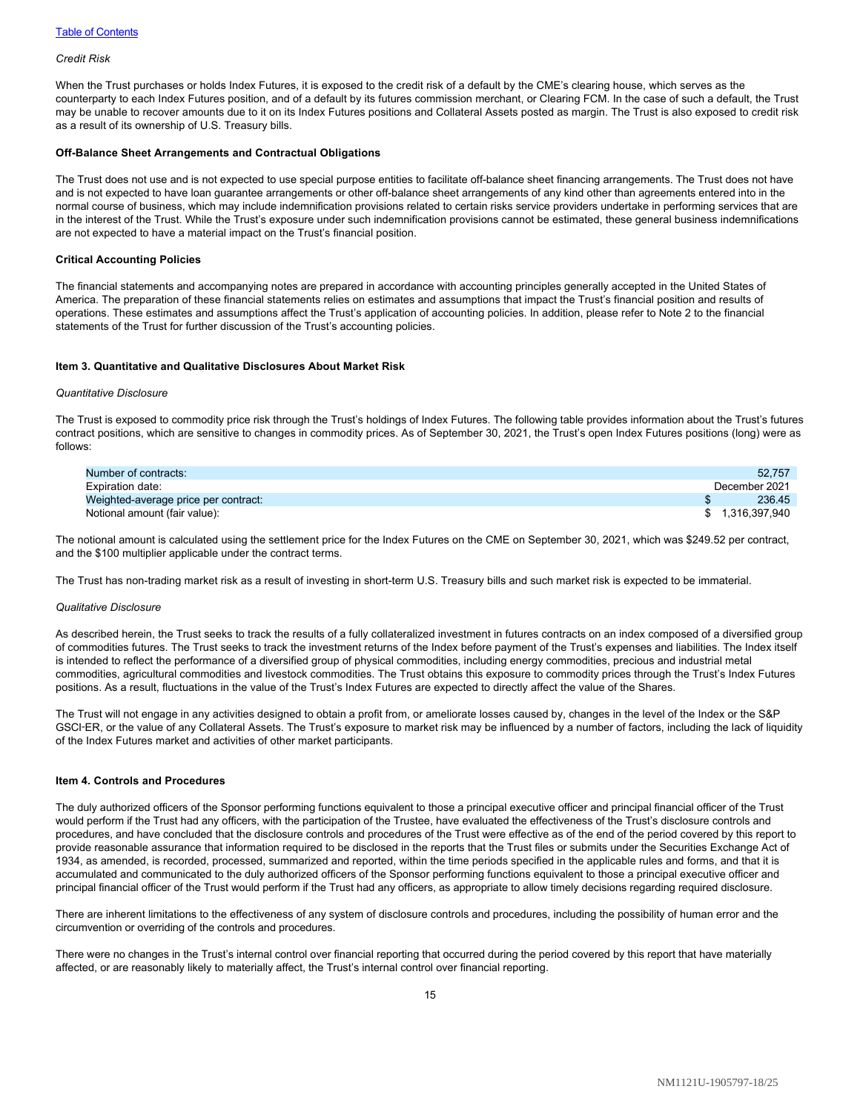# *Credit Risk*

When the Trust purchases or holds Index Futures, it is exposed to the credit risk of a default by the CME's clearing house, which serves as the counterparty to each Index Futures position, and of a default by its futures commission merchant, or Clearing FCM. In the case of such a default, the Trust may be unable to recover amounts due to it on its Index Futures positions and Collateral Assets posted as margin. The Trust is also exposed to credit risk as a result of its ownership of U.S. Treasury bills.

# **Off-Balance Sheet Arrangements and Contractual Obligations**

The Trust does not use and is not expected to use special purpose entities to facilitate off-balance sheet financing arrangements. The Trust does not have and is not expected to have loan guarantee arrangements or other off-balance sheet arrangements of any kind other than agreements entered into in the normal course of business, which may include indemnification provisions related to certain risks service providers undertake in performing services that are in the interest of the Trust. While the Trust's exposure under such indemnification provisions cannot be estimated, these general business indemnifications are not expected to have a material impact on the Trust's financial position.

# **Critical Accounting Policies**

The financial statements and accompanying notes are prepared in accordance with accounting principles generally accepted in the United States of America. The preparation of these financial statements relies on estimates and assumptions that impact the Trust's financial position and results of operations. These estimates and assumptions affect the Trust's application of accounting policies. In addition, please refer to Note 2 to the financial statements of the Trust for further discussion of the Trust's accounting policies.

#### <span id="page-17-0"></span>**Item 3. Quantitative and Qualitative Disclosures About Market Risk**

#### *Quantitative Disclosure*

The Trust is exposed to commodity price risk through the Trust's holdings of Index Futures. The following table provides information about the Trust's futures contract positions, which are sensitive to changes in commodity prices. As of September 30, 2021, the Trust's open Index Futures positions (long) were as follows:

| Number of contracts:                 | 52.757          |
|--------------------------------------|-----------------|
| Expiration date:                     | December 2021   |
| Weighted-average price per contract: | 236.45          |
| Notional amount (fair value):        | \$1.316.397.940 |

The notional amount is calculated using the settlement price for the Index Futures on the CME on September 30, 2021, which was \$249.52 per contract, and the \$100 multiplier applicable under the contract terms.

The Trust has non-trading market risk as a result of investing in short-term U.S. Treasury bills and such market risk is expected to be immaterial.

#### *Qualitative Disclosure*

As described herein, the Trust seeks to track the results of a fully collateralized investment in futures contracts on an index composed of a diversified group of commodities futures. The Trust seeks to track the investment returns of the Index before payment of the Trust's expenses and liabilities. The Index itself is intended to reflect the performance of a diversified group of physical commodities, including energy commodities, precious and industrial metal commodities, agricultural commodities and livestock commodities. The Trust obtains this exposure to commodity prices through the Trust's Index Futures positions. As a result, fluctuations in the value of the Trust's Index Futures are expected to directly affect the value of the Shares.

The Trust will not engage in any activities designed to obtain a profit from, or ameliorate losses caused by, changes in the level of the Index or the S&P GSCI-ER, or the value of any Collateral Assets. The Trust's exposure to market risk may be influenced by a number of factors, including the lack of liquidity of the Index Futures market and activities of other market participants.

#### <span id="page-17-1"></span>**Item 4. Controls and Procedures**

The duly authorized officers of the Sponsor performing functions equivalent to those a principal executive officer and principal financial officer of the Trust would perform if the Trust had any officers, with the participation of the Trustee, have evaluated the effectiveness of the Trust's disclosure controls and procedures, and have concluded that the disclosure controls and procedures of the Trust were effective as of the end of the period covered by this report to provide reasonable assurance that information required to be disclosed in the reports that the Trust files or submits under the Securities Exchange Act of 1934, as amended, is recorded, processed, summarized and reported, within the time periods specified in the applicable rules and forms, and that it is accumulated and communicated to the duly authorized officers of the Sponsor performing functions equivalent to those a principal executive officer and principal financial officer of the Trust would perform if the Trust had any officers, as appropriate to allow timely decisions regarding required disclosure.

There are inherent limitations to the effectiveness of any system of disclosure controls and procedures, including the possibility of human error and the circumvention or overriding of the controls and procedures.

There were no changes in the Trust's internal control over financial reporting that occurred during the period covered by this report that have materially affected, or are reasonably likely to materially affect, the Trust's internal control over financial reporting.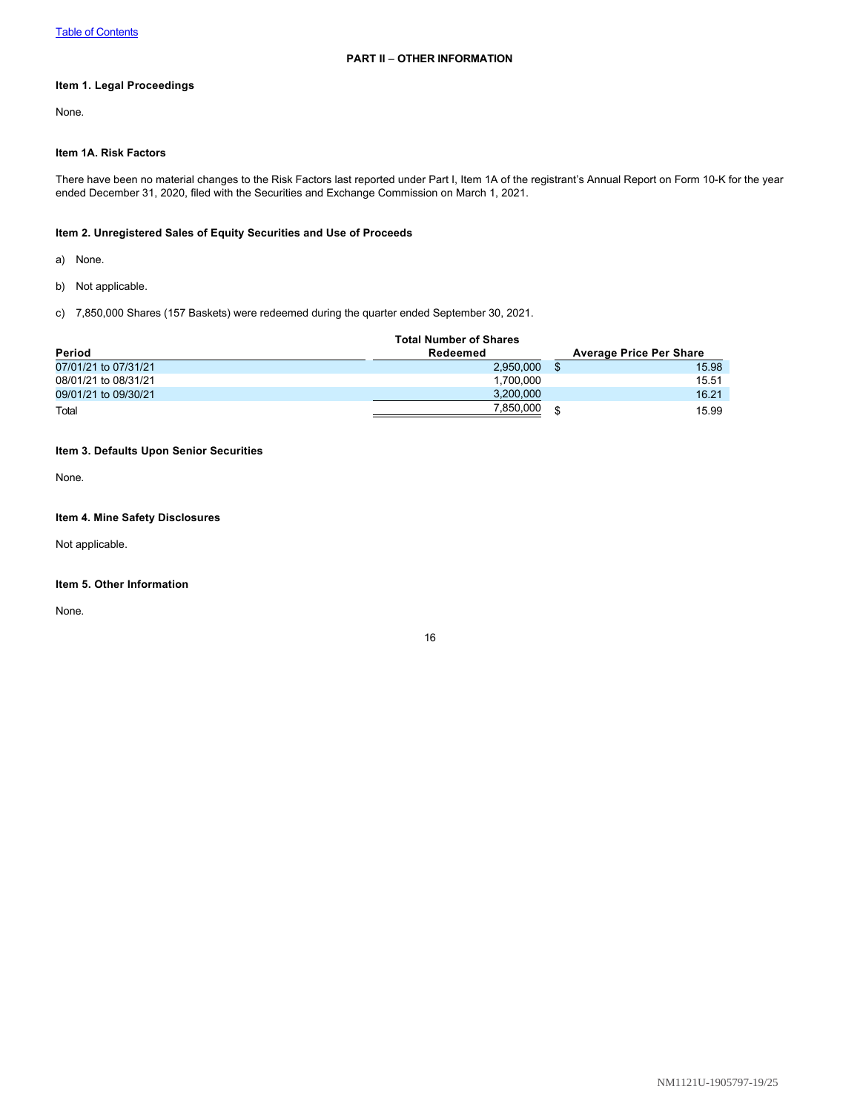# <span id="page-18-1"></span><span id="page-18-0"></span>**Item 1. Legal Proceedings**

None.

# <span id="page-18-2"></span>**Item 1A. Risk Factors**

There have been no material changes to the Risk Factors last reported under Part I, Item 1A of the registrant's Annual Report on Form 10-K for the year ended December 31, 2020, filed with the Securities and Exchange Commission on March 1, 2021.

# <span id="page-18-3"></span>**Item 2. Unregistered Sales of Equity Securities and Use of Proceeds**

- a) None.
- b) Not applicable.
- c) 7,850,000 Shares (157 Baskets) were redeemed during the quarter ended September 30, 2021.

|                      | <b>Total Number of Shares</b> |                                |
|----------------------|-------------------------------|--------------------------------|
| Period               | Redeemed                      | <b>Average Price Per Share</b> |
| 07/01/21 to 07/31/21 | 2.950.000                     | 15.98                          |
| 08/01/21 to 08/31/21 | 1.700.000                     | 15.51                          |
| 09/01/21 to 09/30/21 | 3.200.000                     | 16.21                          |
| Total                | 7,850,000                     | 15.99                          |

# <span id="page-18-4"></span>**Item 3. Defaults Upon Senior Securities**

None.

# <span id="page-18-5"></span>**Item 4. Mine Safety Disclosures**

Not applicable.

# <span id="page-18-6"></span>**Item 5. Other Information**

None.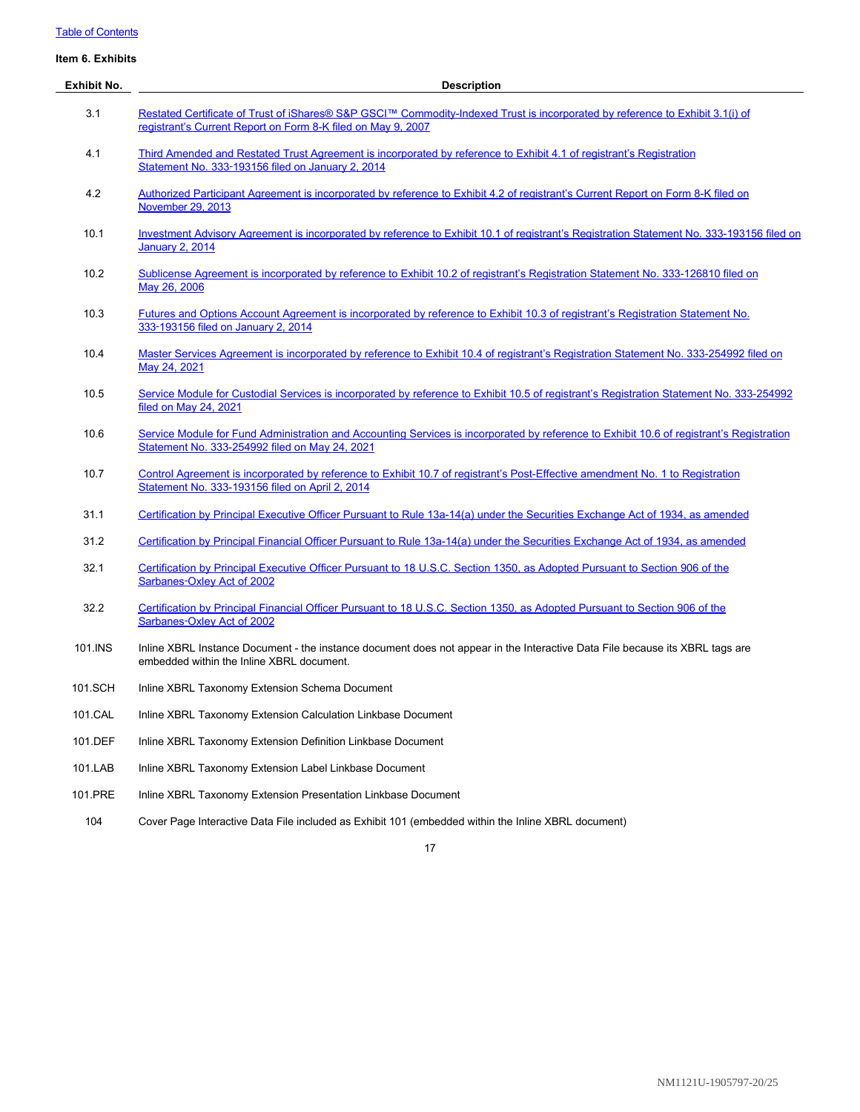# [Table of Contents](#page-1-0)

# <span id="page-19-0"></span>**Item 6. Exhibits**

| <b>Exhibit No.</b> | <b>Description</b>                                                                                                                                                                            |
|--------------------|-----------------------------------------------------------------------------------------------------------------------------------------------------------------------------------------------|
| 3.1                | Restated Certificate of Trust of iShares® S&P GSCI™ Commodity-Indexed Trust is incorporated by reference to Exhibit 3.1(i) of<br>registrant's Current Report on Form 8-K filed on May 9, 2007 |
| 4.1                | Third Amended and Restated Trust Agreement is incorporated by reference to Exhibit 4.1 of registrant's Registration<br>Statement No. 333-193156 filed on January 2, 2014                      |
| 4.2                | Authorized Participant Agreement is incorporated by reference to Exhibit 4.2 of registrant's Current Report on Form 8-K filed on<br>November 29, 2013                                         |
| 10.1               | Investment Advisory Agreement is incorporated by reference to Exhibit 10.1 of registrant's Registration Statement No. 333-193156 filed on<br><b>January 2, 2014</b>                           |
| 10.2               | Sublicense Agreement is incorporated by reference to Exhibit 10.2 of registrant's Registration Statement No. 333-126810 filed on<br>May 26, 2006                                              |
| 10.3               | Futures and Options Account Agreement is incorporated by reference to Exhibit 10.3 of registrant's Registration Statement No.<br>333-193156 filed on January 2, 2014                          |
| 10.4               | Master Services Agreement is incorporated by reference to Exhibit 10.4 of registrant's Registration Statement No. 333-254992 filed on<br>May 24, 2021                                         |
| 10.5               | Service Module for Custodial Services is incorporated by reference to Exhibit 10.5 of registrant's Registration Statement No. 333-254992<br>filed on May 24, 2021                             |
| 10.6               | Service Module for Fund Administration and Accounting Services is incorporated by reference to Exhibit 10.6 of registrant's Registration<br>Statement No. 333-254992 filed on May 24, 2021    |
| 10.7               | Control Agreement is incorporated by reference to Exhibit 10.7 of registrant's Post-Effective amendment No. 1 to Registration<br>Statement No. 333-193156 filed on April 2, 2014              |
| 31.1               | Certification by Principal Executive Officer Pursuant to Rule 13a-14(a) under the Securities Exchange Act of 1934, as amended                                                                 |
| 31.2               | Certification by Principal Financial Officer Pursuant to Rule 13a-14(a) under the Securities Exchange Act of 1934, as amended                                                                 |
| 32.1               | Certification by Principal Executive Officer Pursuant to 18 U.S.C. Section 1350, as Adopted Pursuant to Section 906 of the<br>Sarbanes-Oxley Act of 2002                                      |
| 32.2               | Certification by Principal Financial Officer Pursuant to 18 U.S.C. Section 1350, as Adopted Pursuant to Section 906 of the<br><b>Sarbanes-Oxley Act of 2002</b>                               |
| 101.INS            | Inline XBRL Instance Document - the instance document does not appear in the Interactive Data File because its XBRL tags are<br>embedded within the Inline XBRL document.                     |
| 101.SCH            | Inline XBRL Taxonomy Extension Schema Document                                                                                                                                                |
| 101.CAL            | Inline XBRL Taxonomy Extension Calculation Linkbase Document                                                                                                                                  |
| 101.DEF            | Inline XBRL Taxonomy Extension Definition Linkbase Document                                                                                                                                   |
| 101.LAB            | Inline XBRL Taxonomy Extension Label Linkbase Document                                                                                                                                        |
| 101.PRE            | Inline XBRL Taxonomy Extension Presentation Linkbase Document                                                                                                                                 |
|                    |                                                                                                                                                                                               |

104 Cover Page Interactive Data File included as Exhibit 101 (embedded within the Inline XBRL document)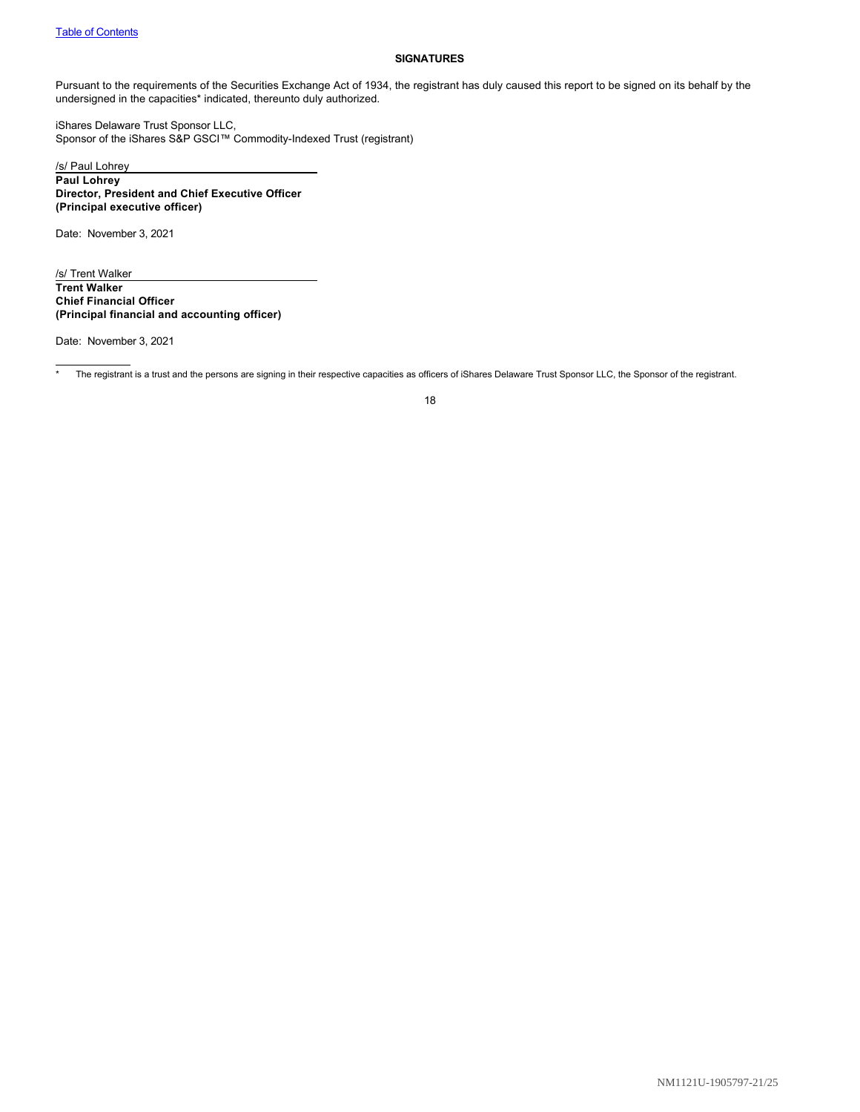# <span id="page-20-0"></span>**SIGNATURES**

Pursuant to the requirements of the Securities Exchange Act of 1934, the registrant has duly caused this report to be signed on its behalf by the undersigned in the capacities\* indicated, thereunto duly authorized.

iShares Delaware Trust Sponsor LLC, Sponsor of the iShares S&P GSCI™ Commodity-Indexed Trust (registrant)

/s/ Paul Lohrey **Paul Lohrey Director, President and Chief Executive Officer (Principal executive officer)**

Date: November 3, 2021

/s/ Trent Walker **Trent Walker Chief Financial Officer (Principal financial and accounting officer)**

Date: November 3, 2021

\* The registrant is a trust and the persons are signing in their respective capacities as officers of iShares Delaware Trust Sponsor LLC, the Sponsor of the registrant.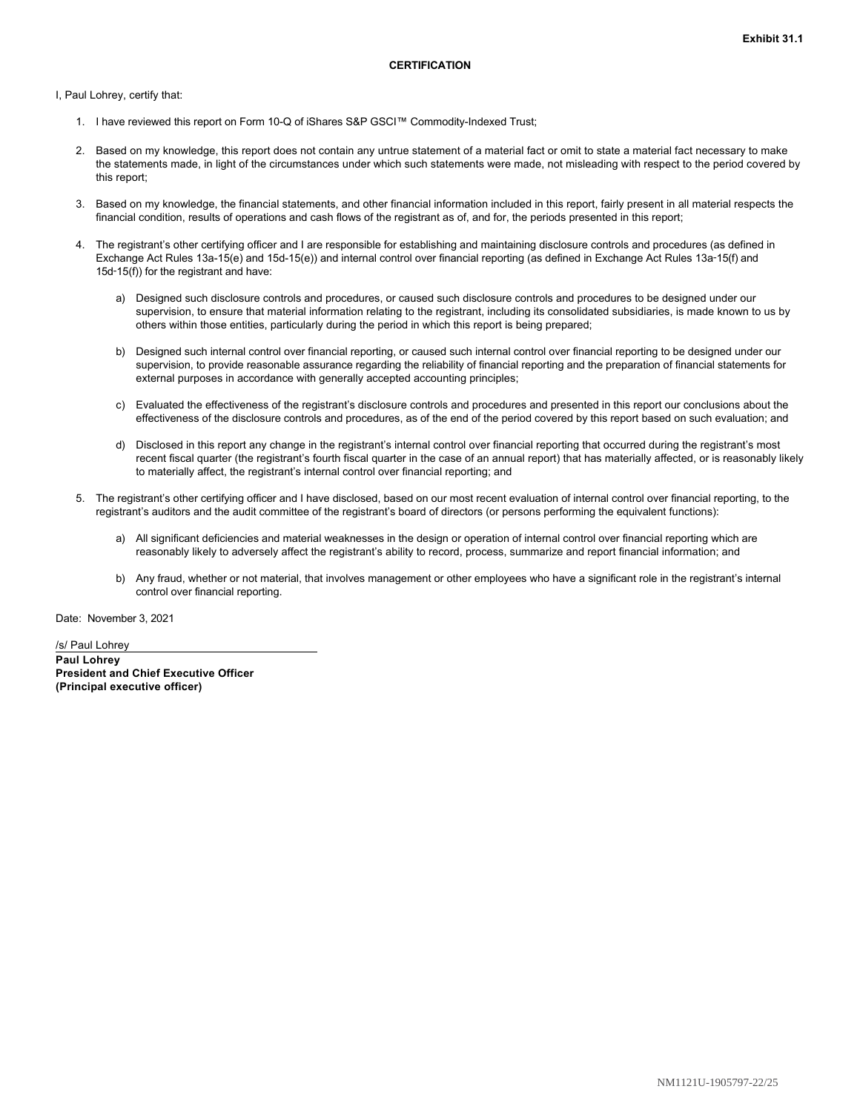<span id="page-21-0"></span>I, Paul Lohrey, certify that:

- 1. I have reviewed this report on Form 10-Q of iShares S&P GSCI™ Commodity-Indexed Trust;
- 2. Based on my knowledge, this report does not contain any untrue statement of a material fact or omit to state a material fact necessary to make the statements made, in light of the circumstances under which such statements were made, not misleading with respect to the period covered by this report;
- 3. Based on my knowledge, the financial statements, and other financial information included in this report, fairly present in all material respects the financial condition, results of operations and cash flows of the registrant as of, and for, the periods presented in this report;
- 4. The registrant's other certifying officer and I are responsible for establishing and maintaining disclosure controls and procedures (as defined in Exchange Act Rules 13a-15(e) and 15d-15(e)) and internal control over financial reporting (as defined in Exchange Act Rules 13a‑15(f) and 15d‑15(f)) for the registrant and have:
	- a) Designed such disclosure controls and procedures, or caused such disclosure controls and procedures to be designed under our supervision, to ensure that material information relating to the registrant, including its consolidated subsidiaries, is made known to us by others within those entities, particularly during the period in which this report is being prepared;
	- b) Designed such internal control over financial reporting, or caused such internal control over financial reporting to be designed under our supervision, to provide reasonable assurance regarding the reliability of financial reporting and the preparation of financial statements for external purposes in accordance with generally accepted accounting principles;
	- c) Evaluated the effectiveness of the registrant's disclosure controls and procedures and presented in this report our conclusions about the effectiveness of the disclosure controls and procedures, as of the end of the period covered by this report based on such evaluation; and
	- d) Disclosed in this report any change in the registrant's internal control over financial reporting that occurred during the registrant's most recent fiscal quarter (the registrant's fourth fiscal quarter in the case of an annual report) that has materially affected, or is reasonably likely to materially affect, the registrant's internal control over financial reporting; and
- 5. The registrant's other certifying officer and I have disclosed, based on our most recent evaluation of internal control over financial reporting, to the registrant's auditors and the audit committee of the registrant's board of directors (or persons performing the equivalent functions):
	- a) All significant deficiencies and material weaknesses in the design or operation of internal control over financial reporting which are reasonably likely to adversely affect the registrant's ability to record, process, summarize and report financial information; and
	- b) Any fraud, whether or not material, that involves management or other employees who have a significant role in the registrant's internal control over financial reporting.

Date: November 3, 2021

/s/ Paul Lohrey **Paul Lohrey President and Chief Executive Officer (Principal executive officer)**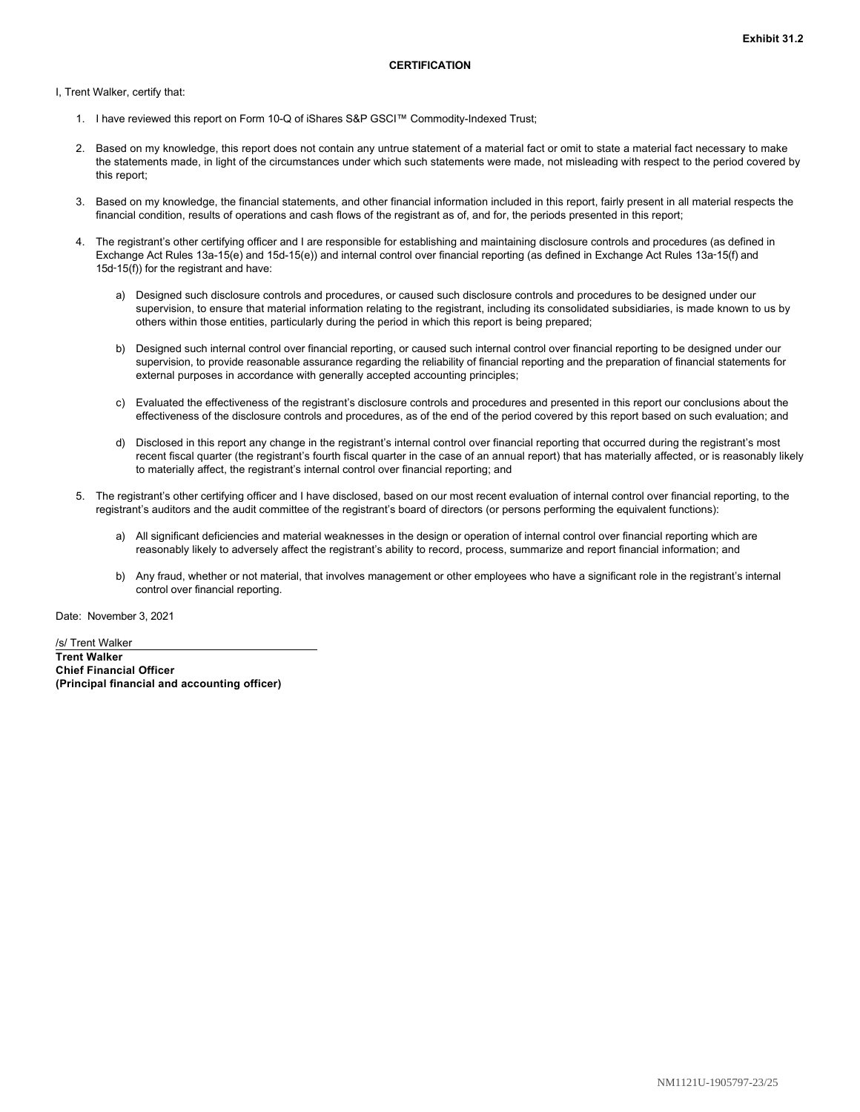# **CERTIFICATION**

<span id="page-22-0"></span>I, Trent Walker, certify that:

- 1. I have reviewed this report on Form 10-Q of iShares S&P GSCI™ Commodity-Indexed Trust;
- 2. Based on my knowledge, this report does not contain any untrue statement of a material fact or omit to state a material fact necessary to make the statements made, in light of the circumstances under which such statements were made, not misleading with respect to the period covered by this report;
- 3. Based on my knowledge, the financial statements, and other financial information included in this report, fairly present in all material respects the financial condition, results of operations and cash flows of the registrant as of, and for, the periods presented in this report;
- 4. The registrant's other certifying officer and I are responsible for establishing and maintaining disclosure controls and procedures (as defined in Exchange Act Rules 13a-15(e) and 15d-15(e)) and internal control over financial reporting (as defined in Exchange Act Rules 13a-15(f) and 15d‑15(f)) for the registrant and have:
	- a) Designed such disclosure controls and procedures, or caused such disclosure controls and procedures to be designed under our supervision, to ensure that material information relating to the registrant, including its consolidated subsidiaries, is made known to us by others within those entities, particularly during the period in which this report is being prepared;
	- b) Designed such internal control over financial reporting, or caused such internal control over financial reporting to be designed under our supervision, to provide reasonable assurance regarding the reliability of financial reporting and the preparation of financial statements for external purposes in accordance with generally accepted accounting principles;
	- c) Evaluated the effectiveness of the registrant's disclosure controls and procedures and presented in this report our conclusions about the effectiveness of the disclosure controls and procedures, as of the end of the period covered by this report based on such evaluation; and
	- d) Disclosed in this report any change in the registrant's internal control over financial reporting that occurred during the registrant's most recent fiscal quarter (the registrant's fourth fiscal quarter in the case of an annual report) that has materially affected, or is reasonably likely to materially affect, the registrant's internal control over financial reporting; and
- 5. The registrant's other certifying officer and I have disclosed, based on our most recent evaluation of internal control over financial reporting, to the registrant's auditors and the audit committee of the registrant's board of directors (or persons performing the equivalent functions):
	- a) All significant deficiencies and material weaknesses in the design or operation of internal control over financial reporting which are reasonably likely to adversely affect the registrant's ability to record, process, summarize and report financial information; and
	- b) Any fraud, whether or not material, that involves management or other employees who have a significant role in the registrant's internal control over financial reporting.

Date: November 3, 2021

/s/ Trent Walker **Trent Walker Chief Financial Officer (Principal financial and accounting officer)**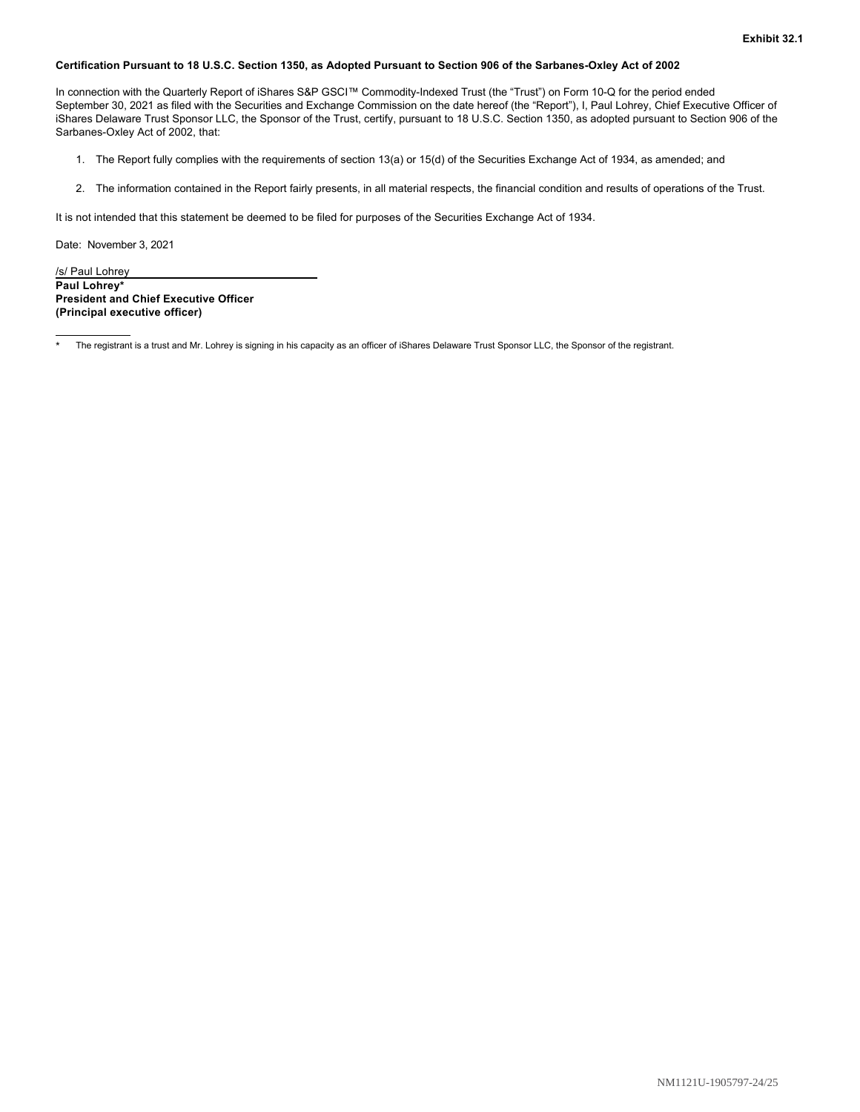# <span id="page-23-0"></span>**Certification Pursuant to 18 U.S.C. Section 1350, as Adopted Pursuant to Section 906 of the Sarbanes-Oxley Act of 2002**

In connection with the Quarterly Report of iShares S&P GSCI™ Commodity-Indexed Trust (the "Trust") on Form 10-Q for the period ended September 30, 2021 as filed with the Securities and Exchange Commission on the date hereof (the "Report"), I, Paul Lohrey, Chief Executive Officer of iShares Delaware Trust Sponsor LLC, the Sponsor of the Trust, certify, pursuant to 18 U.S.C. Section 1350, as adopted pursuant to Section 906 of the Sarbanes-Oxley Act of 2002, that:

- 1. The Report fully complies with the requirements of section 13(a) or 15(d) of the Securities Exchange Act of 1934, as amended; and
- 2. The information contained in the Report fairly presents, in all material respects, the financial condition and results of operations of the Trust.

It is not intended that this statement be deemed to be filed for purposes of the Securities Exchange Act of 1934.

Date: November 3, 2021

/s/ Paul Lohrey **Paul Lohrey\* President and Chief Executive Officer (Principal executive officer)**

The registrant is a trust and Mr. Lohrey is signing in his capacity as an officer of iShares Delaware Trust Sponsor LLC, the Sponsor of the registrant.